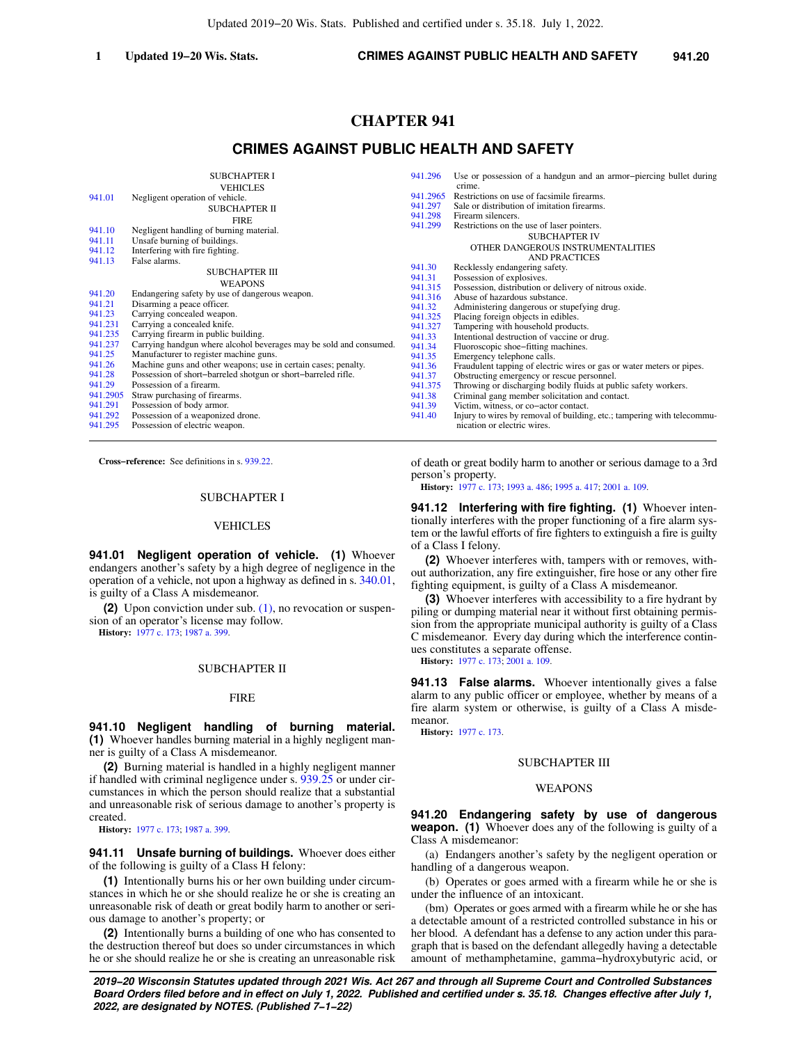# **CHAPTER 941**

# **CRIMES AGAINST PUBLIC HEALTH AND SAFETY**

|          | <b>SUBCHAPTER I</b>                                                | 941.296  | Use or possession of a handgun and an armor-piercing bullet during      |
|----------|--------------------------------------------------------------------|----------|-------------------------------------------------------------------------|
|          | <b>VEHICLES</b>                                                    |          | crime.                                                                  |
| 941.01   | Negligent operation of vehicle.                                    | 941.2965 | Restrictions on use of facsimile firearms.                              |
|          | SUBCHAPTER II                                                      | 941.297  | Sale or distribution of imitation firearms.                             |
|          | <b>FIRE</b>                                                        | 941.298  | Firearm silencers.                                                      |
| 941.10   | Negligent handling of burning material.                            | 941.299  | Restrictions on the use of laser pointers.                              |
| 941.11   | Unsafe burning of buildings.                                       |          | <b>SUBCHAPTER IV</b>                                                    |
| 941.12   | Interfering with fire fighting.                                    |          | OTHER DANGEROUS INSTRUMENTALITIES                                       |
| 941.13   | False alarms.                                                      |          | <b>AND PRACTICES</b>                                                    |
|          |                                                                    | 941.30   | Recklessly endangering safety.                                          |
|          | <b>SUBCHAPTER III</b>                                              | 941.31   | Possession of explosives.                                               |
|          | <b>WEAPONS</b>                                                     | 941.315  | Possession, distribution or delivery of nitrous oxide.                  |
| 941.20   | Endangering safety by use of dangerous weapon.                     | 941.316  | Abuse of hazardous substance.                                           |
| 941.21   | Disarming a peace officer.                                         | 941.32   | Administering dangerous or stupefying drug.                             |
| 941.23   | Carrying concealed weapon.                                         | 941.325  | Placing foreign objects in edibles.                                     |
| 941.231  | Carrying a concealed knife.                                        | 941.327  | Tampering with household products.                                      |
| 941.235  | Carrying firearm in public building.                               | 941.33   | Intentional destruction of vaccine or drug.                             |
| 941.237  | Carrying handgun where alcohol beverages may be sold and consumed. | 941.34   | Fluoroscopic shoe–fitting machines.                                     |
| 941.25   | Manufacturer to register machine guns.                             | 941.35   | Emergency telephone calls.                                              |
| 941.26   | Machine guns and other weapons; use in certain cases; penalty.     | 941.36   | Fraudulent tapping of electric wires or gas or water meters or pipes.   |
| 941.28   | Possession of short-barreled shotgun or short-barreled rifle.      | 941.37   | Obstructing emergency or rescue personnel.                              |
| 941.29   | Possession of a firearm.                                           | 941.375  | Throwing or discharging bodily fluids at public safety workers.         |
| 941.2905 | Straw purchasing of firearms.                                      | 941.38   | Criminal gang member solicitation and contact.                          |
| 941.291  | Possession of body armor.                                          | 941.39   | Victim, witness, or co-actor contact.                                   |
| 941.292  | Possession of a weaponized drone.                                  | 941.40   | Injury to wires by removal of building, etc.; tampering with telecommu- |
| 941.295  | Possession of electric weapon.                                     |          | nication or electric wires.                                             |
|          |                                                                    |          |                                                                         |

**Cross−reference:** See definitions in s. [939.22](https://docs.legis.wisconsin.gov/document/statutes/939.22).

#### SUBCHAPTER I

#### VEHICLES

**941.01 Negligent operation of vehicle. (1)** Whoever endangers another's safety by a high degree of negligence in the operation of a vehicle, not upon a highway as defined in s. [340.01,](https://docs.legis.wisconsin.gov/document/statutes/340.01) is guilty of a Class A misdemeanor.

**(2)** Upon conviction under sub. [\(1\),](https://docs.legis.wisconsin.gov/document/statutes/941.01(1)) no revocation or suspension of an operator's license may follow.

**History:** [1977 c. 173](https://docs.legis.wisconsin.gov/document/acts/1977/173); [1987 a. 399](https://docs.legis.wisconsin.gov/document/acts/1987/399).

# SUBCHAPTER II

#### FIRE

**941.10 Negligent handling of burning material. (1)** Whoever handles burning material in a highly negligent manner is guilty of a Class A misdemeanor.

**(2)** Burning material is handled in a highly negligent manner if handled with criminal negligence under s. [939.25](https://docs.legis.wisconsin.gov/document/statutes/939.25) or under circumstances in which the person should realize that a substantial and unreasonable risk of serious damage to another's property is created.

**History:** [1977 c. 173](https://docs.legis.wisconsin.gov/document/acts/1977/173); [1987 a. 399](https://docs.legis.wisconsin.gov/document/acts/1987/399).

**941.11 Unsafe burning of buildings.** Whoever does either of the following is guilty of a Class H felony:

**(1)** Intentionally burns his or her own building under circumstances in which he or she should realize he or she is creating an unreasonable risk of death or great bodily harm to another or serious damage to another's property; or

**(2)** Intentionally burns a building of one who has consented to the destruction thereof but does so under circumstances in which he or she should realize he or she is creating an unreasonable risk

**941.12 Interfering with fire fighting. (1)** Whoever intentionally interferes with the proper functioning of a fire alarm system or the lawful efforts of fire fighters to extinguish a fire is guilty of a Class I felony.

of death or great bodily harm to another or serious damage to a 3rd

**History:** [1977 c. 173;](https://docs.legis.wisconsin.gov/document/acts/1977/173) [1993 a. 486](https://docs.legis.wisconsin.gov/document/acts/1993/486); [1995 a. 417;](https://docs.legis.wisconsin.gov/document/acts/1995/417) [2001 a. 109.](https://docs.legis.wisconsin.gov/document/acts/2001/109)

**(2)** Whoever interferes with, tampers with or removes, without authorization, any fire extinguisher, fire hose or any other fire fighting equipment, is guilty of a Class A misdemeanor.

**(3)** Whoever interferes with accessibility to a fire hydrant by piling or dumping material near it without first obtaining permission from the appropriate municipal authority is guilty of a Class C misdemeanor. Every day during which the interference continues constitutes a separate offense.

**History:** [1977 c. 173;](https://docs.legis.wisconsin.gov/document/acts/1977/173) [2001 a. 109](https://docs.legis.wisconsin.gov/document/acts/2001/109).

**941.13 False alarms.** Whoever intentionally gives a false alarm to any public officer or employee, whether by means of a fire alarm system or otherwise, is guilty of a Class A misdemeanor.

**History:** [1977 c. 173.](https://docs.legis.wisconsin.gov/document/acts/1977/173)

person's property.

#### SUBCHAPTER III

#### WEAPONS

**941.20 Endangering safety by use of dangerous weapon. (1)** Whoever does any of the following is guilty of a Class A misdemeanor:

(a) Endangers another's safety by the negligent operation or handling of a dangerous weapon.

(b) Operates or goes armed with a firearm while he or she is under the influence of an intoxicant.

(bm) Operates or goes armed with a firearm while he or she has a detectable amount of a restricted controlled substance in his or her blood. A defendant has a defense to any action under this paragraph that is based on the defendant allegedly having a detectable amount of methamphetamine, gamma−hydroxybutyric acid, or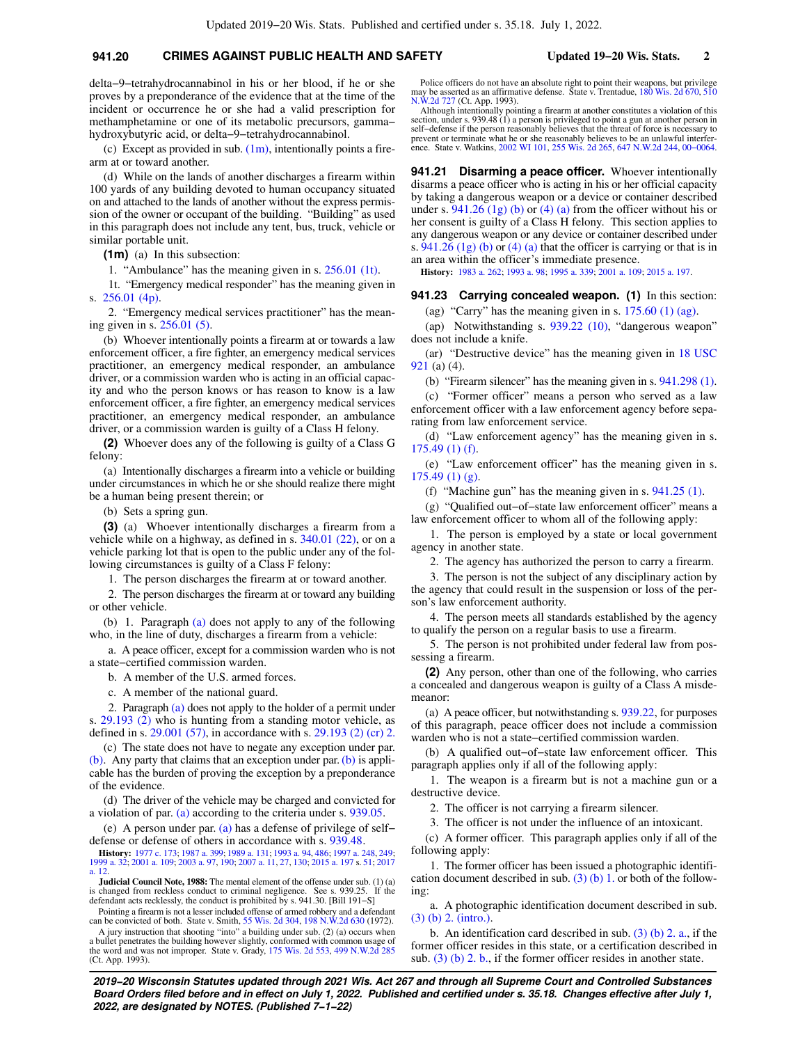# **941.20 CRIMES AGAINST PUBLIC HEALTH AND SAFETY Updated 19−20 Wis. Stats. 2**

delta−9−tetrahydrocannabinol in his or her blood, if he or she proves by a preponderance of the evidence that at the time of the incident or occurrence he or she had a valid prescription for methamphetamine or one of its metabolic precursors, gamma− hydroxybutyric acid, or delta−9−tetrahydrocannabinol.

(c) Except as provided in sub.  $(1m)$ , intentionally points a firearm at or toward another.

(d) While on the lands of another discharges a firearm within 100 yards of any building devoted to human occupancy situated on and attached to the lands of another without the express permission of the owner or occupant of the building. "Building" as used in this paragraph does not include any tent, bus, truck, vehicle or similar portable unit.

**(1m)** (a) In this subsection:

1. "Ambulance" has the meaning given in s. [256.01 \(1t\).](https://docs.legis.wisconsin.gov/document/statutes/256.01(1t))

1t. "Emergency medical responder" has the meaning given in s. [256.01 \(4p\)](https://docs.legis.wisconsin.gov/document/statutes/256.01(4p)).

2. "Emergency medical services practitioner" has the meaning given in s. [256.01 \(5\)](https://docs.legis.wisconsin.gov/document/statutes/256.01(5)).

(b) Whoever intentionally points a firearm at or towards a law enforcement officer, a fire fighter, an emergency medical services practitioner, an emergency medical responder, an ambulance driver, or a commission warden who is acting in an official capacity and who the person knows or has reason to know is a law enforcement officer, a fire fighter, an emergency medical services practitioner, an emergency medical responder, an ambulance driver, or a commission warden is guilty of a Class H felony.

**(2)** Whoever does any of the following is guilty of a Class G felony:

(a) Intentionally discharges a firearm into a vehicle or building under circumstances in which he or she should realize there might be a human being present therein; or

(b) Sets a spring gun.

**(3)** (a) Whoever intentionally discharges a firearm from a vehicle while on a highway, as defined in s. [340.01 \(22\)](https://docs.legis.wisconsin.gov/document/statutes/340.01(22)), or on a vehicle parking lot that is open to the public under any of the following circumstances is guilty of a Class F felony:

1. The person discharges the firearm at or toward another.

2. The person discharges the firearm at or toward any building or other vehicle.

(b) 1. Paragraph [\(a\)](https://docs.legis.wisconsin.gov/document/statutes/941.20(3)(a)) does not apply to any of the following who, in the line of duty, discharges a firearm from a vehicle:

a. A peace officer, except for a commission warden who is not a state−certified commission warden.

b. A member of the U.S. armed forces.

c. A member of the national guard.

2. Paragraph [\(a\)](https://docs.legis.wisconsin.gov/document/statutes/941.20(3)(a)) does not apply to the holder of a permit under s. [29.193 \(2\)](https://docs.legis.wisconsin.gov/document/statutes/29.193(2)) who is hunting from a standing motor vehicle, as defined in s. [29.001 \(57\)](https://docs.legis.wisconsin.gov/document/statutes/29.001(57)), in accordance with s. [29.193 \(2\) \(cr\) 2.](https://docs.legis.wisconsin.gov/document/statutes/29.193(2)(cr)2.)

(c) The state does not have to negate any exception under par. [\(b\)](https://docs.legis.wisconsin.gov/document/statutes/941.20(3)(b)). Any party that claims that an exception under par. [\(b\)](https://docs.legis.wisconsin.gov/document/statutes/941.20(3)(b)) is applicable has the burden of proving the exception by a preponderance of the evidence.

(d) The driver of the vehicle may be charged and convicted for a violation of par. [\(a\)](https://docs.legis.wisconsin.gov/document/statutes/941.20(3)(a)) according to the criteria under s. [939.05](https://docs.legis.wisconsin.gov/document/statutes/939.05).

(e) A person under par. [\(a\)](https://docs.legis.wisconsin.gov/document/statutes/941.20(3)(a)) has a defense of privilege of self− defense or defense of others in accordance with s. [939.48](https://docs.legis.wisconsin.gov/document/statutes/939.48).

**History:** [1977 c. 173](https://docs.legis.wisconsin.gov/document/acts/1977/173); [1987 a. 399](https://docs.legis.wisconsin.gov/document/acts/1987/399); [1989 a. 131](https://docs.legis.wisconsin.gov/document/acts/1989/131); [1993 a. 94](https://docs.legis.wisconsin.gov/document/acts/1993/94), [486;](https://docs.legis.wisconsin.gov/document/acts/1993/486) [1997 a. 248,](https://docs.legis.wisconsin.gov/document/acts/1997/248) [249](https://docs.legis.wisconsin.gov/document/acts/1997/249); [1999 a. 32](https://docs.legis.wisconsin.gov/document/acts/1999/32); [2001 a. 109;](https://docs.legis.wisconsin.gov/document/acts/2001/109) [2003 a. 97,](https://docs.legis.wisconsin.gov/document/acts/2003/97) [190;](https://docs.legis.wisconsin.gov/document/acts/2003/190) [2007 a. 11](https://docs.legis.wisconsin.gov/document/acts/2007/11), [27](https://docs.legis.wisconsin.gov/document/acts/2007/27), [130](https://docs.legis.wisconsin.gov/document/acts/2007/130); [2015 a. 197](https://docs.legis.wisconsin.gov/document/acts/2015/197) s. [51;](https://docs.legis.wisconsin.gov/document/acts/2015/197,%20s.%2051) [2017](https://docs.legis.wisconsin.gov/document/acts/2017/12) [a. 12](https://docs.legis.wisconsin.gov/document/acts/2017/12).

**Judicial Council Note, 1988:** The mental element of the offense under sub. (1) (a) is changed from reckless conduct to criminal negligence. See s. 939.25. If the defendant acts recklessly, the conduct is prohibited by s. 941.30. [Bill 191−S]

Pointing a firearm is not a lesser included offense of armed robbery and a defendant can be convicted of both. State v. Smith, [55 Wis. 2d 304](https://docs.legis.wisconsin.gov/document/courts/55%20Wis.%202d%20304), [198 N.W.2d 630](https://docs.legis.wisconsin.gov/document/courts/198%20N.W.2d%20630) (1972).

A jury instruction that shooting "into" a building under sub. (2) (a) occurs when a bullet penetrates the building however slightly, conformed with common usage of the word and was not improper. State v. Grady, [175 Wis. 2d 553](https://docs.legis.wisconsin.gov/document/courts/175%20Wis.%202d%20553), [499 N.W.2d 285](https://docs.legis.wisconsin.gov/document/courts/499%20N.W.2d%20285) (Ct. App. 1993).

Police officers do not have an absolute right to point their weapons, but privilege may be asserted as an affirmative defense. State v. Trentadue, [180 Wis. 2d 670](https://docs.legis.wisconsin.gov/document/courts/180%20Wis.%202d%20670), [510](https://docs.legis.wisconsin.gov/document/courts/510%20N.W.2d%20727) [N.W.2d 727](https://docs.legis.wisconsin.gov/document/courts/510%20N.W.2d%20727) (Ct. App. 1993).

Although intentionally pointing a firearm at another constitutes a violation of this section, under s. 939.48 (1) a person is privileged to point a gun at another person in self−defense if the person reasonably believes that the threat of force is necessary to prevent or terminate what he or she reasonably believes to be an unlawful interfer-ence. State v. Watkins, [2002 WI 101](https://docs.legis.wisconsin.gov/document/courts/2002%20WI%20101), [255 Wis. 2d 265,](https://docs.legis.wisconsin.gov/document/courts/255%20Wis.%202d%20265) [647 N.W.2d 244](https://docs.legis.wisconsin.gov/document/courts/647%20N.W.2d%20244), [00−0064](https://docs.legis.wisconsin.gov/document/wisupremecourt/00-0064).

**941.21 Disarming a peace officer.** Whoever intentionally disarms a peace officer who is acting in his or her official capacity by taking a dangerous weapon or a device or container described under s.  $941.26$  (1g) (b) or [\(4\) \(a\)](https://docs.legis.wisconsin.gov/document/statutes/941.26(4)(a)) from the officer without his or her consent is guilty of a Class H felony. This section applies to any dangerous weapon or any device or container described under s.  $941.26$  (1g) (b) or [\(4\) \(a\)](https://docs.legis.wisconsin.gov/document/statutes/941.26(4)(a)) that the officer is carrying or that is in an area within the officer's immediate presence.

**History:** [1983 a. 262;](https://docs.legis.wisconsin.gov/document/acts/1983/262) [1993 a. 98;](https://docs.legis.wisconsin.gov/document/acts/1993/98) [1995 a. 339](https://docs.legis.wisconsin.gov/document/acts/1995/339); [2001 a. 109](https://docs.legis.wisconsin.gov/document/acts/2001/109); [2015 a. 197.](https://docs.legis.wisconsin.gov/document/acts/2015/197)

# **941.23 Carrying concealed weapon. (1)** In this section:

(ag) "Carry" has the meaning given in s.  $175.60$  (1) (ag).

(ap) Notwithstanding s. [939.22 \(10\)](https://docs.legis.wisconsin.gov/document/statutes/939.22(10)), "dangerous weapon" does not include a knife.

(ar) "Destructive device" has the meaning given in [18 USC](https://docs.legis.wisconsin.gov/document/usc/18%20USC%20921) [921](https://docs.legis.wisconsin.gov/document/usc/18%20USC%20921) (a) (4).

(b) "Firearm silencer" has the meaning given in s. [941.298 \(1\).](https://docs.legis.wisconsin.gov/document/statutes/941.298(1))

(c) "Former officer" means a person who served as a law enforcement officer with a law enforcement agency before separating from law enforcement service.

(d) "Law enforcement agency" has the meaning given in s. [175.49 \(1\) \(f\)](https://docs.legis.wisconsin.gov/document/statutes/175.49(1)(f)).

(e) "Law enforcement officer" has the meaning given in s. [175.49 \(1\) \(g\).](https://docs.legis.wisconsin.gov/document/statutes/175.49(1)(g))

(f) "Machine gun" has the meaning given in s. [941.25 \(1\).](https://docs.legis.wisconsin.gov/document/statutes/941.25(1))

(g) "Qualified out−of−state law enforcement officer" means a law enforcement officer to whom all of the following apply:

1. The person is employed by a state or local government agency in another state.

2. The agency has authorized the person to carry a firearm.

3. The person is not the subject of any disciplinary action by the agency that could result in the suspension or loss of the person's law enforcement authority.

4. The person meets all standards established by the agency to qualify the person on a regular basis to use a firearm.

5. The person is not prohibited under federal law from possessing a firearm.

**(2)** Any person, other than one of the following, who carries a concealed and dangerous weapon is guilty of a Class A misdemeanor:

(a) A peace officer, but notwithstanding s. [939.22,](https://docs.legis.wisconsin.gov/document/statutes/939.22) for purposes of this paragraph, peace officer does not include a commission warden who is not a state−certified commission warden.

(b) A qualified out−of−state law enforcement officer. This paragraph applies only if all of the following apply:

1. The weapon is a firearm but is not a machine gun or a destructive device.

2. The officer is not carrying a firearm silencer.

3. The officer is not under the influence of an intoxicant.

(c) A former officer. This paragraph applies only if all of the following apply:

1. The former officer has been issued a photographic identification document described in sub.  $(3)$  (b) 1. or both of the following:

a. A photographic identification document described in sub. [\(3\) \(b\) 2. \(intro.\)](https://docs.legis.wisconsin.gov/document/statutes/941.23(3)(b)2.(intro.)).

b. An identification card described in sub. [\(3\) \(b\) 2. a.](https://docs.legis.wisconsin.gov/document/statutes/941.23(3)(b)2.a.), if the former officer resides in this state, or a certification described in sub.  $(3)$  (b) 2. b., if the former officer resides in another state.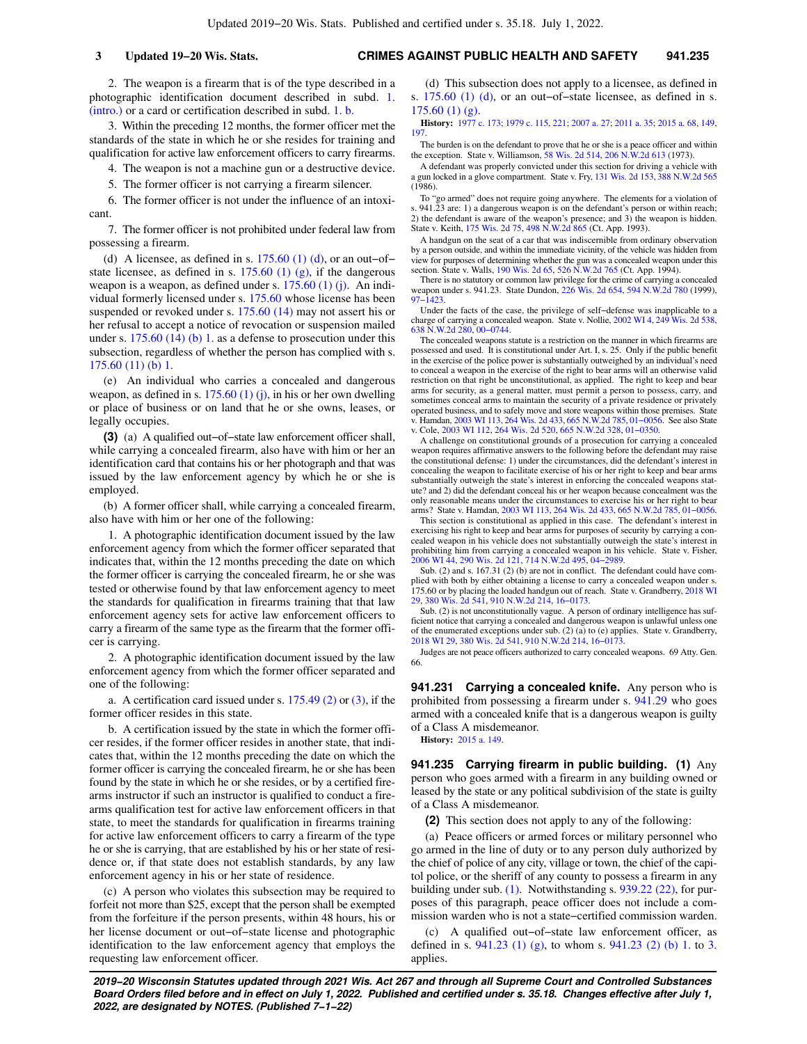2. The weapon is a firearm that is of the type described in a photographic identification document described in subd. [1.](https://docs.legis.wisconsin.gov/document/statutes/941.23(2)(c)1.(intro.)) [\(intro.\)](https://docs.legis.wisconsin.gov/document/statutes/941.23(2)(c)1.(intro.)) or a card or certification described in subd. [1. b.](https://docs.legis.wisconsin.gov/document/statutes/941.23(2)(c)1.b.)

3. Within the preceding 12 months, the former officer met the standards of the state in which he or she resides for training and qualification for active law enforcement officers to carry firearms.

4. The weapon is not a machine gun or a destructive device.

5. The former officer is not carrying a firearm silencer.

6. The former officer is not under the influence of an intoxicant.

7. The former officer is not prohibited under federal law from possessing a firearm.

(d) A licensee, as defined in s.  $175.60$  (1) (d), or an out–of– state licensee, as defined in s.  $175.60$  (1) (g), if the dangerous weapon is a weapon, as defined under s. [175.60 \(1\) \(j\)](https://docs.legis.wisconsin.gov/document/statutes/175.60(1)(j)). An individual formerly licensed under s. [175.60](https://docs.legis.wisconsin.gov/document/statutes/175.60) whose license has been suspended or revoked under s. [175.60 \(14\)](https://docs.legis.wisconsin.gov/document/statutes/175.60(14)) may not assert his or her refusal to accept a notice of revocation or suspension mailed under s. [175.60 \(14\) \(b\) 1.](https://docs.legis.wisconsin.gov/document/statutes/175.60(14)(b)1.) as a defense to prosecution under this subsection, regardless of whether the person has complied with s. [175.60 \(11\) \(b\) 1.](https://docs.legis.wisconsin.gov/document/statutes/175.60(11)(b)1.)

(e) An individual who carries a concealed and dangerous weapon, as defined in s. [175.60 \(1\) \(j\),](https://docs.legis.wisconsin.gov/document/statutes/175.60(1)(j)) in his or her own dwelling or place of business or on land that he or she owns, leases, or legally occupies.

**(3)** (a) A qualified out−of−state law enforcement officer shall, while carrying a concealed firearm, also have with him or her an identification card that contains his or her photograph and that was issued by the law enforcement agency by which he or she is employed.

(b) A former officer shall, while carrying a concealed firearm, also have with him or her one of the following:

1. A photographic identification document issued by the law enforcement agency from which the former officer separated that indicates that, within the 12 months preceding the date on which the former officer is carrying the concealed firearm, he or she was tested or otherwise found by that law enforcement agency to meet the standards for qualification in firearms training that that law enforcement agency sets for active law enforcement officers to carry a firearm of the same type as the firearm that the former officer is carrying.

2. A photographic identification document issued by the law enforcement agency from which the former officer separated and one of the following:

a. A certification card issued under s.  $175.49(2)$  or  $(3)$ , if the former officer resides in this state.

b. A certification issued by the state in which the former officer resides, if the former officer resides in another state, that indicates that, within the 12 months preceding the date on which the former officer is carrying the concealed firearm, he or she has been found by the state in which he or she resides, or by a certified firearms instructor if such an instructor is qualified to conduct a firearms qualification test for active law enforcement officers in that state, to meet the standards for qualification in firearms training for active law enforcement officers to carry a firearm of the type he or she is carrying, that are established by his or her state of residence or, if that state does not establish standards, by any law enforcement agency in his or her state of residence.

(c) A person who violates this subsection may be required to forfeit not more than \$25, except that the person shall be exempted from the forfeiture if the person presents, within 48 hours, his or her license document or out−of−state license and photographic identification to the law enforcement agency that employs the requesting law enforcement officer.

(d) This subsection does not apply to a licensee, as defined in s. [175.60 \(1\) \(d\)](https://docs.legis.wisconsin.gov/document/statutes/175.60(1)(d)), or an out–of–state licensee, as defined in s.  $175.60(1)(g)$ .

**History:** [1977 c. 173](https://docs.legis.wisconsin.gov/document/acts/1977/173); [1979 c. 115](https://docs.legis.wisconsin.gov/document/acts/1979/115), [221](https://docs.legis.wisconsin.gov/document/acts/1979/221); [2007 a. 27](https://docs.legis.wisconsin.gov/document/acts/2007/27); [2011 a. 35;](https://docs.legis.wisconsin.gov/document/acts/2011/35) [2015 a. 68,](https://docs.legis.wisconsin.gov/document/acts/2015/68) [149](https://docs.legis.wisconsin.gov/document/acts/2015/149), [197.](https://docs.legis.wisconsin.gov/document/acts/2015/197)

The burden is on the defendant to prove that he or she is a peace officer and within the exception. State v. Williamson, [58 Wis. 2d 514,](https://docs.legis.wisconsin.gov/document/courts/58%20Wis.%202d%20514) [206 N.W.2d 613](https://docs.legis.wisconsin.gov/document/courts/206%20N.W.2d%20613) (1973).

A defendant was properly convicted under this section for driving a vehicle with a gun locked in a glove compartment. State v. Fry, [131 Wis. 2d 153](https://docs.legis.wisconsin.gov/document/courts/131%20Wis.%202d%20153), [388 N.W.2d 565](https://docs.legis.wisconsin.gov/document/courts/388%20N.W.2d%20565) (1986).

To "go armed" does not require going anywhere. The elements for a violation of s. 941.23 are: 1) a dangerous weapon is on the defendant's person or within reach; 2) the defendant is aware of the weapon's presence; and 3) the weapon is hidden. State v. Keith, [175 Wis. 2d 75,](https://docs.legis.wisconsin.gov/document/courts/175%20Wis.%202d%2075) [498 N.W.2d 865](https://docs.legis.wisconsin.gov/document/courts/498%20N.W.2d%20865) (Ct. App. 1993).

A handgun on the seat of a car that was indiscernible from ordinary observation by a person outside, and within the immediate vicinity, of the vehicle was hidden from view for purposes of determining whether the gun was a concealed weapon under this section. State v. Walls, [190 Wis. 2d 65](https://docs.legis.wisconsin.gov/document/courts/190%20Wis.%202d%2065), [526 N.W.2d 765](https://docs.legis.wisconsin.gov/document/courts/526%20N.W.2d%20765) (Ct. App. 1994).

There is no statutory or common law privilege for the crime of carrying a concealed weapon under s. 941.23. State Dundon, [226 Wis. 2d 654](https://docs.legis.wisconsin.gov/document/courts/226%20Wis.%202d%20654), [594 N.W.2d 780](https://docs.legis.wisconsin.gov/document/courts/594%20N.W.2d%20780) (1999), [97−1423.](https://docs.legis.wisconsin.gov/document/wisupremecourt/97-1423)

Under the facts of the case, the privilege of self−defense was inapplicable to a charge of carrying a concealed weapon. State v. Nollie, [2002 WI 4,](https://docs.legis.wisconsin.gov/document/courts/2002%20WI%204) [249 Wis. 2d 538](https://docs.legis.wisconsin.gov/document/courts/249%20Wis.%202d%20538), [638 N.W.2d 280](https://docs.legis.wisconsin.gov/document/courts/638%20N.W.2d%20280), [00−0744](https://docs.legis.wisconsin.gov/document/wisupremecourt/00-0744).

The concealed weapons statute is a restriction on the manner in which firearms are possessed and used. It is constitutional under Art. I, s. 25. Only if the public benefit in the exercise of the police power is substantially outweighed by an individual's need to conceal a weapon in the exercise of the right to bear arms will an otherwise valid restriction on that right be unconstitutional, as applied. The right to keep and bear arms for security, as a general matter, must permit a person to possess, carry, and sometimes conceal arms to maintain the security of a private residence or privately operated business, and to safely move and store weapons within those premises. State v. Hamdan, [2003 WI 113](https://docs.legis.wisconsin.gov/document/courts/2003%20WI%20113), [264 Wis. 2d 433](https://docs.legis.wisconsin.gov/document/courts/264%20Wis.%202d%20433), [665 N.W.2d 785](https://docs.legis.wisconsin.gov/document/courts/665%20N.W.2d%20785), [01−0056.](https://docs.legis.wisconsin.gov/document/wisupremecourt/01-0056) See also State v. Cole, [2003 WI 112](https://docs.legis.wisconsin.gov/document/courts/2003%20WI%20112), [264 Wis. 2d 520,](https://docs.legis.wisconsin.gov/document/courts/264%20Wis.%202d%20520) [665 N.W.2d 328](https://docs.legis.wisconsin.gov/document/courts/665%20N.W.2d%20328), [01−0350](https://docs.legis.wisconsin.gov/document/wisupremecourt/01-0350).

A challenge on constitutional grounds of a prosecution for carrying a concealed weapon requires affirmative answers to the following before the defendant may raise the constitutional defense: 1) under the circumstances, did the defendant's interest in concealing the weapon to facilitate exercise of his or her right to keep and bear arms substantially outweigh the state's interest in enforcing the concealed weapons statute? and 2) did the defendant conceal his or her weapon because concealment was the only reasonable means under the circumstances to exercise his or her right to bear arms? State v. Hamdan, [2003 WI 113,](https://docs.legis.wisconsin.gov/document/courts/2003%20WI%20113) [264 Wis. 2d 433,](https://docs.legis.wisconsin.gov/document/courts/264%20Wis.%202d%20433) [665 N.W.2d 785,](https://docs.legis.wisconsin.gov/document/courts/665%20N.W.2d%20785) [01−0056](https://docs.legis.wisconsin.gov/document/wisupremecourt/01-0056).

This section is constitutional as applied in this case. The defendant's interest in exercising his right to keep and bear arms for purposes of security by carrying a concealed weapon in his vehicle does not substantially outweigh the state's interest in prohibiting him from carrying a concealed weapon in his vehicle. State v. Fisher, [2006 WI 44](https://docs.legis.wisconsin.gov/document/courts/2006%20WI%2044), [290 Wis. 2d 121](https://docs.legis.wisconsin.gov/document/courts/290%20Wis.%202d%20121), [714 N.W.2d 495,](https://docs.legis.wisconsin.gov/document/courts/714%20N.W.2d%20495) [04−2989.](https://docs.legis.wisconsin.gov/document/wisupremecourt/04-2989)

Sub. (2) and s. 167.31 (2) (b) are not in conflict. The defendant could have complied with both by either obtaining a license to carry a concealed weapon under s. 175.60 or by placing the loaded handgun out of reach. State v. Grandberry, [2018 WI](https://docs.legis.wisconsin.gov/document/courts/2018%20WI%2029) [29](https://docs.legis.wisconsin.gov/document/courts/2018%20WI%2029), [380 Wis. 2d 541,](https://docs.legis.wisconsin.gov/document/courts/380%20Wis.%202d%20541) [910 N.W.2d 214](https://docs.legis.wisconsin.gov/document/courts/910%20N.W.2d%20214), [16−0173](https://docs.legis.wisconsin.gov/document/wisupremecourt/16-0173).

Sub. (2) is not unconstitutionally vague. A person of ordinary intelligence has sufficient notice that carrying a concealed and dangerous weapon is unlawful unless one of the enumerated exceptions under sub. (2) (a) to (e) applies. State v. Grandberry, [2018 WI 29](https://docs.legis.wisconsin.gov/document/courts/2018%20WI%2029), [380 Wis. 2d 541](https://docs.legis.wisconsin.gov/document/courts/380%20Wis.%202d%20541), [910 N.W.2d 214,](https://docs.legis.wisconsin.gov/document/courts/910%20N.W.2d%20214) [16−0173.](https://docs.legis.wisconsin.gov/document/wisupremecourt/16-0173)

Judges are not peace officers authorized to carry concealed weapons. 69 Atty. Gen. 66.

**941.231 Carrying a concealed knife.** Any person who is prohibited from possessing a firearm under s. [941.29](https://docs.legis.wisconsin.gov/document/statutes/941.29) who goes armed with a concealed knife that is a dangerous weapon is guilty of a Class A misdemeanor.

**History:** [2015 a. 149.](https://docs.legis.wisconsin.gov/document/acts/2015/149)

**941.235 Carrying firearm in public building. (1)** Any person who goes armed with a firearm in any building owned or leased by the state or any political subdivision of the state is guilty of a Class A misdemeanor.

**(2)** This section does not apply to any of the following:

(a) Peace officers or armed forces or military personnel who go armed in the line of duty or to any person duly authorized by the chief of police of any city, village or town, the chief of the capitol police, or the sheriff of any county to possess a firearm in any building under sub. [\(1\)](https://docs.legis.wisconsin.gov/document/statutes/941.235(1)). Notwithstanding s. [939.22 \(22\)](https://docs.legis.wisconsin.gov/document/statutes/939.22(22)), for purposes of this paragraph, peace officer does not include a commission warden who is not a state−certified commission warden.

(c) A qualified out−of−state law enforcement officer, as defined in s. [941.23 \(1\) \(g\)](https://docs.legis.wisconsin.gov/document/statutes/941.23(1)(g)), to whom s. [941.23 \(2\) \(b\) 1.](https://docs.legis.wisconsin.gov/document/statutes/941.23(2)(b)1.) to [3.](https://docs.legis.wisconsin.gov/document/statutes/941.23(2)(b)3.) applies.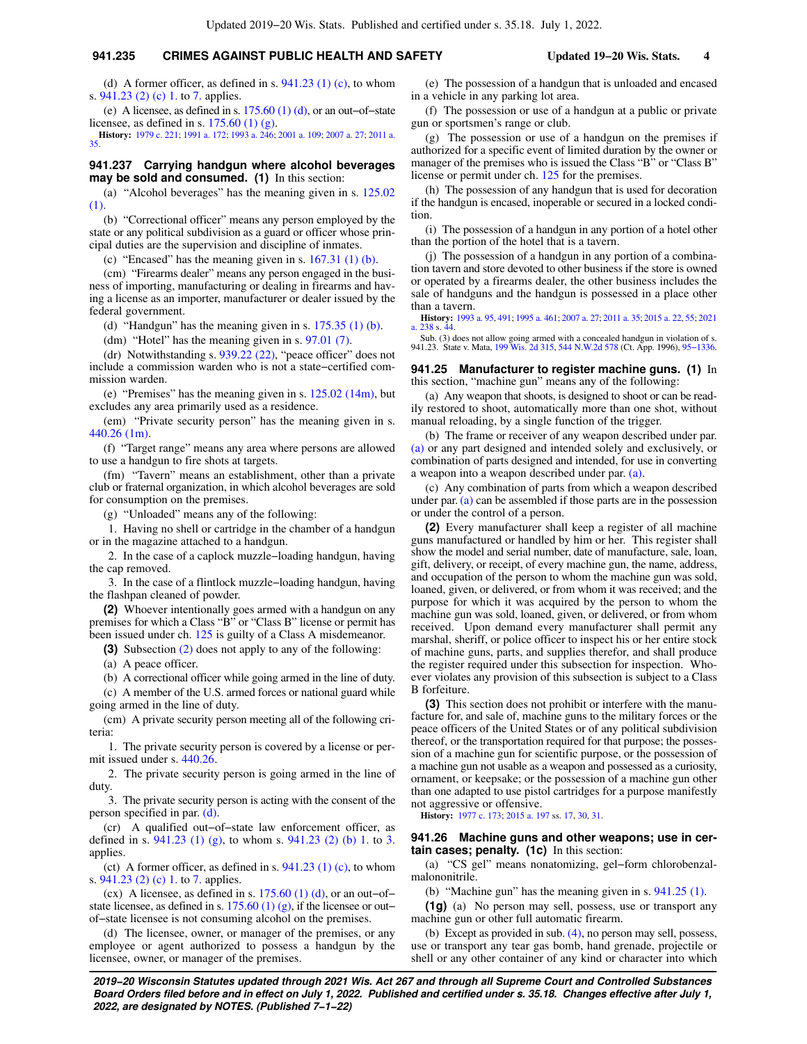# **941.235 CRIMES AGAINST PUBLIC HEALTH AND SAFETY Updated 19−20 Wis. Stats. 4**

(e) A licensee, as defined in s. [175.60 \(1\) \(d\)](https://docs.legis.wisconsin.gov/document/statutes/175.60(1)(d)), or an out−of−state licensee, as defined in s.  $175.60$  (1) (g).

**History:** [1979 c. 221](https://docs.legis.wisconsin.gov/document/acts/1979/221); [1991 a. 172;](https://docs.legis.wisconsin.gov/document/acts/1991/172) [1993 a. 246;](https://docs.legis.wisconsin.gov/document/acts/1993/246) [2001 a. 109;](https://docs.legis.wisconsin.gov/document/acts/2001/109) [2007 a. 27](https://docs.legis.wisconsin.gov/document/acts/2007/27); [2011 a.](https://docs.legis.wisconsin.gov/document/acts/2011/35) [35.](https://docs.legis.wisconsin.gov/document/acts/2011/35)

## **941.237 Carrying handgun where alcohol beverages may be sold and consumed. (1)** In this section:

(a) "Alcohol beverages" has the meaning given in s. [125.02](https://docs.legis.wisconsin.gov/document/statutes/125.02(1)) [\(1\)](https://docs.legis.wisconsin.gov/document/statutes/125.02(1)).

(b) "Correctional officer" means any person employed by the state or any political subdivision as a guard or officer whose principal duties are the supervision and discipline of inmates.

(c) "Encased" has the meaning given in s.  $167.31$  (1) (b).

(cm) "Firearms dealer" means any person engaged in the business of importing, manufacturing or dealing in firearms and having a license as an importer, manufacturer or dealer issued by the federal government.

(d) "Handgun" has the meaning given in s.  $175.35$  (1) (b).

(dm) "Hotel" has the meaning given in s. [97.01 \(7\)](https://docs.legis.wisconsin.gov/document/statutes/97.01(7)).

(dr) Notwithstanding s. [939.22 \(22\),](https://docs.legis.wisconsin.gov/document/statutes/939.22(22)) "peace officer" does not include a commission warden who is not a state−certified commission warden.

(e) "Premises" has the meaning given in s.  $125.02$  ( $14m$ ), but excludes any area primarily used as a residence.

(em) "Private security person" has the meaning given in s. [440.26 \(1m\).](https://docs.legis.wisconsin.gov/document/statutes/440.26(1m))

(f) "Target range" means any area where persons are allowed to use a handgun to fire shots at targets.

(fm) "Tavern" means an establishment, other than a private club or fraternal organization, in which alcohol beverages are sold for consumption on the premises.

(g) "Unloaded" means any of the following:

1. Having no shell or cartridge in the chamber of a handgun or in the magazine attached to a handgun.

2. In the case of a caplock muzzle−loading handgun, having the cap removed.

3. In the case of a flintlock muzzle−loading handgun, having the flashpan cleaned of powder.

**(2)** Whoever intentionally goes armed with a handgun on any premises for which a Class "B" or "Class B" license or permit has been issued under ch. [125](https://docs.legis.wisconsin.gov/document/statutes/ch.%20125) is guilty of a Class A misdemeanor.

**(3)** Subsection [\(2\)](https://docs.legis.wisconsin.gov/document/statutes/941.237(2)) does not apply to any of the following:

(a) A peace officer.

(b) A correctional officer while going armed in the line of duty.

(c) A member of the U.S. armed forces or national guard while going armed in the line of duty.

(cm) A private security person meeting all of the following criteria:

1. The private security person is covered by a license or permit issued under s. [440.26.](https://docs.legis.wisconsin.gov/document/statutes/440.26)

2. The private security person is going armed in the line of duty.

3. The private security person is acting with the consent of the person specified in par. [\(d\).](https://docs.legis.wisconsin.gov/document/statutes/941.237(3)(d))

(cr) A qualified out−of−state law enforcement officer, as defined in s. [941.23 \(1\) \(g\),](https://docs.legis.wisconsin.gov/document/statutes/941.23(1)(g)) to whom s. [941.23 \(2\) \(b\) 1.](https://docs.legis.wisconsin.gov/document/statutes/941.23(2)(b)1.) to [3.](https://docs.legis.wisconsin.gov/document/statutes/941.23(2)(b)3.) applies.

(ct) A former officer, as defined in s.  $941.23$  (1) (c), to whom s. [941.23 \(2\) \(c\) 1.](https://docs.legis.wisconsin.gov/document/statutes/941.23(2)(c)1.) to [7.](https://docs.legis.wisconsin.gov/document/statutes/941.23(2)(c)7.) applies.

(cx) A licensee, as defined in s.  $175.60$  (1) (d), or an out–of– state licensee, as defined in s.  $175.60$  (1) (g), if the licensee or out− of−state licensee is not consuming alcohol on the premises.

(d) The licensee, owner, or manager of the premises, or any employee or agent authorized to possess a handgun by the licensee, owner, or manager of the premises.

(e) The possession of a handgun that is unloaded and encased in a vehicle in any parking lot area.

(f) The possession or use of a handgun at a public or private gun or sportsmen's range or club.

(g) The possession or use of a handgun on the premises if authorized for a specific event of limited duration by the owner or manager of the premises who is issued the Class "B" or "Class B" license or permit under ch. [125](https://docs.legis.wisconsin.gov/document/statutes/ch.%20125) for the premises.

(h) The possession of any handgun that is used for decoration if the handgun is encased, inoperable or secured in a locked condition.

(i) The possession of a handgun in any portion of a hotel other than the portion of the hotel that is a tavern.

(j) The possession of a handgun in any portion of a combination tavern and store devoted to other business if the store is owned or operated by a firearms dealer, the other business includes the sale of handguns and the handgun is possessed in a place other than a tavern.

**History:** [1993 a. 95,](https://docs.legis.wisconsin.gov/document/acts/1993/95) [491](https://docs.legis.wisconsin.gov/document/acts/1993/491); [1995 a. 461](https://docs.legis.wisconsin.gov/document/acts/1995/461); [2007 a. 27;](https://docs.legis.wisconsin.gov/document/acts/2007/27) [2011 a. 35;](https://docs.legis.wisconsin.gov/document/acts/2011/35) [2015 a. 22](https://docs.legis.wisconsin.gov/document/acts/2015/22), [55](https://docs.legis.wisconsin.gov/document/acts/2015/55); [2021](https://docs.legis.wisconsin.gov/document/acts/2021/238) [a. 238](https://docs.legis.wisconsin.gov/document/acts/2021/238) s. [44](https://docs.legis.wisconsin.gov/document/acts/2021/238,%20s.%2044).

Sub. (3) does not allow going armed with a concealed handgun in violation of s. 941.23. State v. Mata, [199 Wis. 2d 315,](https://docs.legis.wisconsin.gov/document/courts/199%20Wis.%202d%20315) [544 N.W.2d 578](https://docs.legis.wisconsin.gov/document/courts/544%20N.W.2d%20578) (Ct. App. 1996), [95−1336](https://docs.legis.wisconsin.gov/document/wicourtofappeals/95-1336).

### **941.25 Manufacturer to register machine guns. (1)** In this section, "machine gun" means any of the following:

(a) Any weapon that shoots, is designed to shoot or can be readily restored to shoot, automatically more than one shot, without manual reloading, by a single function of the trigger.

(b) The frame or receiver of any weapon described under par. [\(a\)](https://docs.legis.wisconsin.gov/document/statutes/941.25(1)(a)) or any part designed and intended solely and exclusively, or combination of parts designed and intended, for use in converting a weapon into a weapon described under par. [\(a\)](https://docs.legis.wisconsin.gov/document/statutes/941.25(1)(a)).

(c) Any combination of parts from which a weapon described under par.  $(a)$  can be assembled if those parts are in the possession or under the control of a person.

**(2)** Every manufacturer shall keep a register of all machine guns manufactured or handled by him or her. This register shall show the model and serial number, date of manufacture, sale, loan, gift, delivery, or receipt, of every machine gun, the name, address, and occupation of the person to whom the machine gun was sold, loaned, given, or delivered, or from whom it was received; and the purpose for which it was acquired by the person to whom the machine gun was sold, loaned, given, or delivered, or from whom received. Upon demand every manufacturer shall permit any marshal, sheriff, or police officer to inspect his or her entire stock of machine guns, parts, and supplies therefor, and shall produce the register required under this subsection for inspection. Whoever violates any provision of this subsection is subject to a Class B forfeiture.

**(3)** This section does not prohibit or interfere with the manufacture for, and sale of, machine guns to the military forces or the peace officers of the United States or of any political subdivision thereof, or the transportation required for that purpose; the possession of a machine gun for scientific purpose, or the possession of a machine gun not usable as a weapon and possessed as a curiosity, ornament, or keepsake; or the possession of a machine gun other than one adapted to use pistol cartridges for a purpose manifestly not aggressive or offensive.

**History:** [1977 c. 173;](https://docs.legis.wisconsin.gov/document/acts/1977/173) [2015 a. 197](https://docs.legis.wisconsin.gov/document/acts/2015/197) ss. [17](https://docs.legis.wisconsin.gov/document/acts/2015/197,%20s.%2017), [30,](https://docs.legis.wisconsin.gov/document/acts/2015/197,%20s.%2030) [31](https://docs.legis.wisconsin.gov/document/acts/2015/197,%20s.%2031).

#### **941.26 Machine guns and other weapons; use in certain cases; penalty. (1c)** In this section:

(a) "CS gel" means nonatomizing, gel−form chlorobenzalmalononitrile.

(b) "Machine gun" has the meaning given in s. [941.25 \(1\)](https://docs.legis.wisconsin.gov/document/statutes/941.25(1)).

**(1g)** (a) No person may sell, possess, use or transport any machine gun or other full automatic firearm.

(b) Except as provided in sub. [\(4\)](https://docs.legis.wisconsin.gov/document/statutes/941.26(4)), no person may sell, possess, use or transport any tear gas bomb, hand grenade, projectile or shell or any other container of any kind or character into which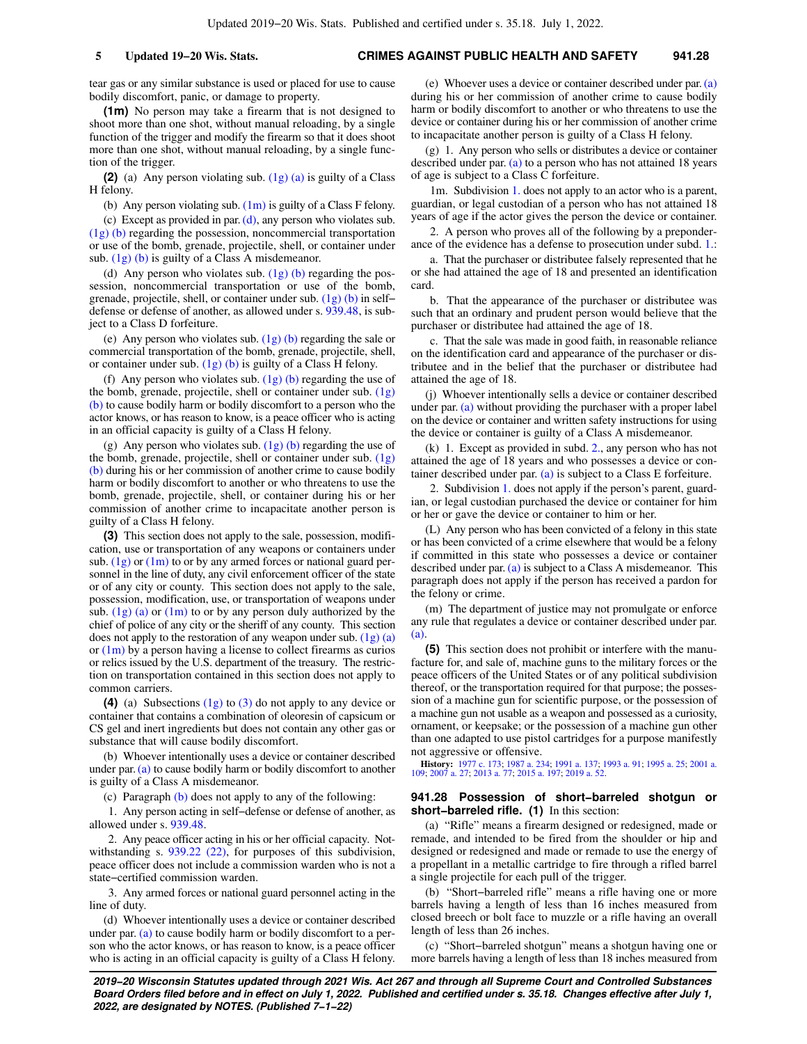tear gas or any similar substance is used or placed for use to cause bodily discomfort, panic, or damage to property.

**(1m)** No person may take a firearm that is not designed to shoot more than one shot, without manual reloading, by a single function of the trigger and modify the firearm so that it does shoot more than one shot, without manual reloading, by a single function of the trigger.

**(2)** (a) Any person violating sub. [\(1g\) \(a\)](https://docs.legis.wisconsin.gov/document/statutes/941.26(1g)(a)) is guilty of a Class H felony.

(b) Any person violating sub.  $(1m)$  is guilty of a Class F felony.

(c) Except as provided in par. [\(d\),](https://docs.legis.wisconsin.gov/document/statutes/941.26(2)(d)) any person who violates sub. [\(1g\) \(b\)](https://docs.legis.wisconsin.gov/document/statutes/941.26(1g)(b)) regarding the possession, noncommercial transportation or use of the bomb, grenade, projectile, shell, or container under sub. [\(1g\) \(b\)](https://docs.legis.wisconsin.gov/document/statutes/941.26(1g)(b)) is guilty of a Class A misdemeanor.

(d) Any person who violates sub.  $(1g)$  (b) regarding the possession, noncommercial transportation or use of the bomb, grenade, projectile, shell, or container under sub. [\(1g\) \(b\)](https://docs.legis.wisconsin.gov/document/statutes/941.26(1g)(b)) in self− defense or defense of another, as allowed under s. [939.48](https://docs.legis.wisconsin.gov/document/statutes/939.48), is subject to a Class D forfeiture.

(e) Any person who violates sub.  $(1g)$  (b) regarding the sale or commercial transportation of the bomb, grenade, projectile, shell, or container under sub.  $(1g)$  (b) is guilty of a Class H felony.

(f) Any person who violates sub.  $(1g)$  (b) regarding the use of the bomb, grenade, projectile, shell or container under sub. [\(1g\)](https://docs.legis.wisconsin.gov/document/statutes/941.26(1g)(b)) [\(b\)](https://docs.legis.wisconsin.gov/document/statutes/941.26(1g)(b)) to cause bodily harm or bodily discomfort to a person who the actor knows, or has reason to know, is a peace officer who is acting in an official capacity is guilty of a Class H felony.

(g) Any person who violates sub.  $(1g)$  (b) regarding the use of the bomb, grenade, projectile, shell or container under sub. [\(1g\)](https://docs.legis.wisconsin.gov/document/statutes/941.26(1g)(b)) [\(b\)](https://docs.legis.wisconsin.gov/document/statutes/941.26(1g)(b)) during his or her commission of another crime to cause bodily harm or bodily discomfort to another or who threatens to use the bomb, grenade, projectile, shell, or container during his or her commission of another crime to incapacitate another person is guilty of a Class H felony.

**(3)** This section does not apply to the sale, possession, modification, use or transportation of any weapons or containers under sub.  $(1g)$  or  $(1m)$  to or by any armed forces or national guard personnel in the line of duty, any civil enforcement officer of the state or of any city or county. This section does not apply to the sale, possession, modification, use, or transportation of weapons under sub.  $(1g)$  (a) or  $(1m)$  to or by any person duly authorized by the chief of police of any city or the sheriff of any county. This section does not apply to the restoration of any weapon under sub. [\(1g\) \(a\)](https://docs.legis.wisconsin.gov/document/statutes/941.26(1g)(a)) or  $(1m)$  by a person having a license to collect firearms as curios or relics issued by the U.S. department of the treasury. The restriction on transportation contained in this section does not apply to common carriers.

**(4)** (a) Subsections [\(1g\)](https://docs.legis.wisconsin.gov/document/statutes/941.26(1g)) to [\(3\)](https://docs.legis.wisconsin.gov/document/statutes/941.26(3)) do not apply to any device or container that contains a combination of oleoresin of capsicum or CS gel and inert ingredients but does not contain any other gas or substance that will cause bodily discomfort.

(b) Whoever intentionally uses a device or container described under par. [\(a\)](https://docs.legis.wisconsin.gov/document/statutes/941.26(4)(a)) to cause bodily harm or bodily discomfort to another is guilty of a Class A misdemeanor.

(c) Paragraph [\(b\)](https://docs.legis.wisconsin.gov/document/statutes/941.26(4)(b)) does not apply to any of the following:

1. Any person acting in self−defense or defense of another, as allowed under s. [939.48.](https://docs.legis.wisconsin.gov/document/statutes/939.48)

2. Any peace officer acting in his or her official capacity. Not-withstanding s. [939.22 \(22\),](https://docs.legis.wisconsin.gov/document/statutes/939.22(22)) for purposes of this subdivision, peace officer does not include a commission warden who is not a state−certified commission warden.

3. Any armed forces or national guard personnel acting in the line of duty.

(d) Whoever intentionally uses a device or container described under par. [\(a\)](https://docs.legis.wisconsin.gov/document/statutes/941.26(4)(a)) to cause bodily harm or bodily discomfort to a person who the actor knows, or has reason to know, is a peace officer who is acting in an official capacity is guilty of a Class H felony.

(e) Whoever uses a device or container described under par. [\(a\)](https://docs.legis.wisconsin.gov/document/statutes/941.26(4)(a)) during his or her commission of another crime to cause bodily harm or bodily discomfort to another or who threatens to use the device or container during his or her commission of another crime to incapacitate another person is guilty of a Class H felony.

(g) 1. Any person who sells or distributes a device or container described under par. [\(a\)](https://docs.legis.wisconsin.gov/document/statutes/941.26(4)(a)) to a person who has not attained 18 years of age is subject to a Class C forfeiture.

1m. Subdivision [1.](https://docs.legis.wisconsin.gov/document/statutes/941.26(4)(g)1.) does not apply to an actor who is a parent, guardian, or legal custodian of a person who has not attained 18 years of age if the actor gives the person the device or container.

2. A person who proves all of the following by a preponderance of the evidence has a defense to prosecution under subd. [1.:](https://docs.legis.wisconsin.gov/document/statutes/941.26(4)(g)1.)

a. That the purchaser or distributee falsely represented that he or she had attained the age of 18 and presented an identification card.

b. That the appearance of the purchaser or distributee was such that an ordinary and prudent person would believe that the purchaser or distributee had attained the age of 18.

c. That the sale was made in good faith, in reasonable reliance on the identification card and appearance of the purchaser or distributee and in the belief that the purchaser or distributee had attained the age of 18.

(j) Whoever intentionally sells a device or container described under par. [\(a\)](https://docs.legis.wisconsin.gov/document/statutes/941.26(4)(a)) without providing the purchaser with a proper label on the device or container and written safety instructions for using the device or container is guilty of a Class A misdemeanor.

(k) 1. Except as provided in subd. [2.,](https://docs.legis.wisconsin.gov/document/statutes/941.26(4)(k)2.) any person who has not attained the age of 18 years and who possesses a device or container described under par. [\(a\)](https://docs.legis.wisconsin.gov/document/statutes/941.26(4)(a)) is subject to a Class E forfeiture.

2. Subdivision [1.](https://docs.legis.wisconsin.gov/document/statutes/941.26(4)(k)1.) does not apply if the person's parent, guardian, or legal custodian purchased the device or container for him or her or gave the device or container to him or her.

(L) Any person who has been convicted of a felony in this state or has been convicted of a crime elsewhere that would be a felony if committed in this state who possesses a device or container described under par. [\(a\)](https://docs.legis.wisconsin.gov/document/statutes/941.26(4)(a)) is subject to a Class A misdemeanor. This paragraph does not apply if the person has received a pardon for the felony or crime.

(m) The department of justice may not promulgate or enforce any rule that regulates a device or container described under par. [\(a\)](https://docs.legis.wisconsin.gov/document/statutes/941.26(4)(a)).

**(5)** This section does not prohibit or interfere with the manufacture for, and sale of, machine guns to the military forces or the peace officers of the United States or of any political subdivision thereof, or the transportation required for that purpose; the possession of a machine gun for scientific purpose, or the possession of a machine gun not usable as a weapon and possessed as a curiosity, ornament, or keepsake; or the possession of a machine gun other than one adapted to use pistol cartridges for a purpose manifestly not aggressive or offensive.

**History:** [1977 c. 173;](https://docs.legis.wisconsin.gov/document/acts/1977/173) [1987 a. 234](https://docs.legis.wisconsin.gov/document/acts/1987/234); [1991 a. 137;](https://docs.legis.wisconsin.gov/document/acts/1991/137) [1993 a. 91;](https://docs.legis.wisconsin.gov/document/acts/1993/91) [1995 a. 25;](https://docs.legis.wisconsin.gov/document/acts/1995/25) [2001 a.](https://docs.legis.wisconsin.gov/document/acts/2001/109) [109;](https://docs.legis.wisconsin.gov/document/acts/2001/109) [2007 a. 27;](https://docs.legis.wisconsin.gov/document/acts/2007/27) [2013 a. 77;](https://docs.legis.wisconsin.gov/document/acts/2013/77) [2015 a. 197;](https://docs.legis.wisconsin.gov/document/acts/2015/197) [2019 a. 52.](https://docs.legis.wisconsin.gov/document/acts/2019/52)

## **941.28 Possession of short−barreled shotgun or short−barreled rifle. (1)** In this section:

(a) "Rifle" means a firearm designed or redesigned, made or remade, and intended to be fired from the shoulder or hip and designed or redesigned and made or remade to use the energy of a propellant in a metallic cartridge to fire through a rifled barrel a single projectile for each pull of the trigger.

(b) "Short−barreled rifle" means a rifle having one or more barrels having a length of less than 16 inches measured from closed breech or bolt face to muzzle or a rifle having an overall length of less than 26 inches.

(c) "Short−barreled shotgun" means a shotgun having one or more barrels having a length of less than 18 inches measured from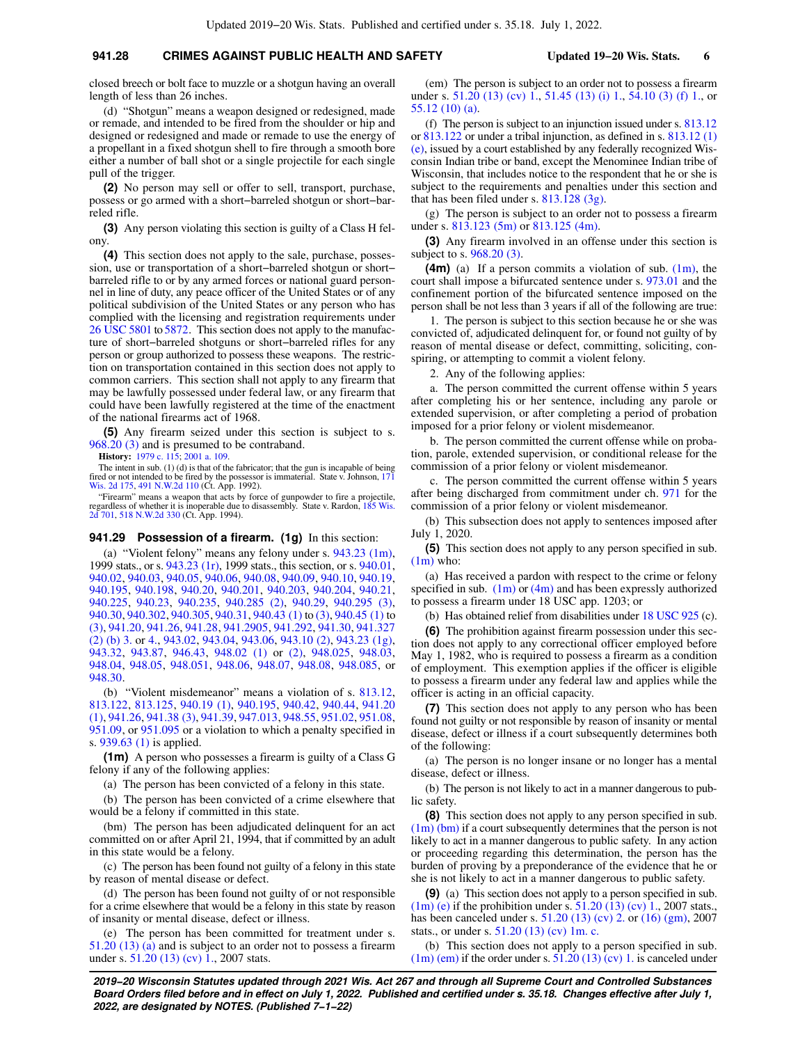# **941.28 CRIMES AGAINST PUBLIC HEALTH AND SAFETY Updated 19−20 Wis. Stats. 6**

closed breech or bolt face to muzzle or a shotgun having an overall length of less than 26 inches.

(d) "Shotgun" means a weapon designed or redesigned, made or remade, and intended to be fired from the shoulder or hip and designed or redesigned and made or remade to use the energy of a propellant in a fixed shotgun shell to fire through a smooth bore either a number of ball shot or a single projectile for each single pull of the trigger.

**(2)** No person may sell or offer to sell, transport, purchase, possess or go armed with a short−barreled shotgun or short−barreled rifle.

**(3)** Any person violating this section is guilty of a Class H felony.

**(4)** This section does not apply to the sale, purchase, possession, use or transportation of a short−barreled shotgun or short− barreled rifle to or by any armed forces or national guard personnel in line of duty, any peace officer of the United States or of any political subdivision of the United States or any person who has complied with the licensing and registration requirements under [26 USC 5801](https://docs.legis.wisconsin.gov/document/usc/26%20USC%205801) to [5872](https://docs.legis.wisconsin.gov/document/usc/26%20USC%205872). This section does not apply to the manufacture of short−barreled shotguns or short−barreled rifles for any person or group authorized to possess these weapons. The restriction on transportation contained in this section does not apply to common carriers. This section shall not apply to any firearm that may be lawfully possessed under federal law, or any firearm that could have been lawfully registered at the time of the enactment of the national firearms act of 1968.

**(5)** Any firearm seized under this section is subject to s. [968.20 \(3\)](https://docs.legis.wisconsin.gov/document/statutes/968.20(3)) and is presumed to be contraband.

**History:** [1979 c. 115](https://docs.legis.wisconsin.gov/document/acts/1979/115); [2001 a. 109.](https://docs.legis.wisconsin.gov/document/acts/2001/109)

The intent in sub. (1) (d) is that of the fabricator; that the gun is incapable of being fired or not intended to be fired by the possessor is immaterial. State v. Johnson, [171](https://docs.legis.wisconsin.gov/document/courts/171%20Wis.%202d%20175) [Wis. 2d 175,](https://docs.legis.wisconsin.gov/document/courts/171%20Wis.%202d%20175) [491 N.W.2d 110](https://docs.legis.wisconsin.gov/document/courts/491%20N.W.2d%20110) (Ct. App. 1992).

"Firearm" means a weapon that acts by force of gunpowder to fire a projectile, regardless of whether it is inoperable due to disassembly. State v. Rardon, [185 Wis.](https://docs.legis.wisconsin.gov/document/courts/185%20Wis.%202d%20701) [2d 701](https://docs.legis.wisconsin.gov/document/courts/185%20Wis.%202d%20701), [518 N.W.2d 330](https://docs.legis.wisconsin.gov/document/courts/518%20N.W.2d%20330) (Ct. App. 1994).

#### **941.29 Possession of a firearm. (1g)** In this section:

(a) "Violent felony" means any felony under s. [943.23 \(1m\),](https://docs.legis.wisconsin.gov/document/statutes/1999/943.23(1m)) 1999 stats., or s. [943.23 \(1r\)](https://docs.legis.wisconsin.gov/document/statutes/1999/943.23(1r)), 1999 stats., this section, or s. [940.01,](https://docs.legis.wisconsin.gov/document/statutes/940.01) [940.02,](https://docs.legis.wisconsin.gov/document/statutes/940.02) [940.03](https://docs.legis.wisconsin.gov/document/statutes/940.03), [940.05](https://docs.legis.wisconsin.gov/document/statutes/940.05), [940.06,](https://docs.legis.wisconsin.gov/document/statutes/940.06) [940.08,](https://docs.legis.wisconsin.gov/document/statutes/940.08) [940.09](https://docs.legis.wisconsin.gov/document/statutes/940.09), [940.10](https://docs.legis.wisconsin.gov/document/statutes/940.10), [940.19,](https://docs.legis.wisconsin.gov/document/statutes/940.19) [940.195](https://docs.legis.wisconsin.gov/document/statutes/940.195), [940.198](https://docs.legis.wisconsin.gov/document/statutes/940.198), [940.20,](https://docs.legis.wisconsin.gov/document/statutes/940.20) [940.201](https://docs.legis.wisconsin.gov/document/statutes/940.201), [940.203](https://docs.legis.wisconsin.gov/document/statutes/940.203), [940.204](https://docs.legis.wisconsin.gov/document/statutes/940.204), [940.21,](https://docs.legis.wisconsin.gov/document/statutes/940.21) [940.225](https://docs.legis.wisconsin.gov/document/statutes/940.225), [940.23,](https://docs.legis.wisconsin.gov/document/statutes/940.23) [940.235,](https://docs.legis.wisconsin.gov/document/statutes/940.235) [940.285 \(2\)](https://docs.legis.wisconsin.gov/document/statutes/940.285(2)), [940.29,](https://docs.legis.wisconsin.gov/document/statutes/940.29) [940.295 \(3\),](https://docs.legis.wisconsin.gov/document/statutes/940.295(3)) [940.30,](https://docs.legis.wisconsin.gov/document/statutes/940.30) [940.302](https://docs.legis.wisconsin.gov/document/statutes/940.302), [940.305](https://docs.legis.wisconsin.gov/document/statutes/940.305), [940.31](https://docs.legis.wisconsin.gov/document/statutes/940.31), [940.43 \(1\)](https://docs.legis.wisconsin.gov/document/statutes/940.43(1)) to [\(3\)](https://docs.legis.wisconsin.gov/document/statutes/940.43(3)), [940.45 \(1\)](https://docs.legis.wisconsin.gov/document/statutes/940.45(1)) to [\(3\)](https://docs.legis.wisconsin.gov/document/statutes/940.45(3)), [941.20](https://docs.legis.wisconsin.gov/document/statutes/941.20), [941.26](https://docs.legis.wisconsin.gov/document/statutes/941.26), [941.28,](https://docs.legis.wisconsin.gov/document/statutes/941.28) [941.2905,](https://docs.legis.wisconsin.gov/document/statutes/941.2905) [941.292](https://docs.legis.wisconsin.gov/document/statutes/941.292), [941.30](https://docs.legis.wisconsin.gov/document/statutes/941.30), [941.327](https://docs.legis.wisconsin.gov/document/statutes/941.327(2)(b)3.) [\(2\) \(b\) 3.](https://docs.legis.wisconsin.gov/document/statutes/941.327(2)(b)3.) or [4.,](https://docs.legis.wisconsin.gov/document/statutes/941.327(2)(b)4.) [943.02](https://docs.legis.wisconsin.gov/document/statutes/943.02), [943.04,](https://docs.legis.wisconsin.gov/document/statutes/943.04) [943.06](https://docs.legis.wisconsin.gov/document/statutes/943.06), [943.10 \(2\),](https://docs.legis.wisconsin.gov/document/statutes/943.10(2)) [943.23 \(1g\),](https://docs.legis.wisconsin.gov/document/statutes/943.23(1g)) [943.32,](https://docs.legis.wisconsin.gov/document/statutes/943.32) [943.87](https://docs.legis.wisconsin.gov/document/statutes/943.87), [946.43](https://docs.legis.wisconsin.gov/document/statutes/946.43), [948.02 \(1\)](https://docs.legis.wisconsin.gov/document/statutes/948.02(1)) or [\(2\),](https://docs.legis.wisconsin.gov/document/statutes/948.02(2)) [948.025](https://docs.legis.wisconsin.gov/document/statutes/948.025), [948.03,](https://docs.legis.wisconsin.gov/document/statutes/948.03) [948.04,](https://docs.legis.wisconsin.gov/document/statutes/948.04) [948.05](https://docs.legis.wisconsin.gov/document/statutes/948.05), [948.051,](https://docs.legis.wisconsin.gov/document/statutes/948.051) [948.06,](https://docs.legis.wisconsin.gov/document/statutes/948.06) [948.07](https://docs.legis.wisconsin.gov/document/statutes/948.07), [948.08](https://docs.legis.wisconsin.gov/document/statutes/948.08), [948.085,](https://docs.legis.wisconsin.gov/document/statutes/948.085) or [948.30.](https://docs.legis.wisconsin.gov/document/statutes/948.30)

(b) "Violent misdemeanor" means a violation of s. [813.12,](https://docs.legis.wisconsin.gov/document/statutes/813.12) [813.122](https://docs.legis.wisconsin.gov/document/statutes/813.122), [813.125,](https://docs.legis.wisconsin.gov/document/statutes/813.125) [940.19 \(1\)](https://docs.legis.wisconsin.gov/document/statutes/940.19(1)), [940.195,](https://docs.legis.wisconsin.gov/document/statutes/940.195) [940.42,](https://docs.legis.wisconsin.gov/document/statutes/940.42) [940.44,](https://docs.legis.wisconsin.gov/document/statutes/940.44) [941.20](https://docs.legis.wisconsin.gov/document/statutes/941.20(1)) [\(1\)](https://docs.legis.wisconsin.gov/document/statutes/941.20(1)), [941.26](https://docs.legis.wisconsin.gov/document/statutes/941.26), [941.38 \(3\),](https://docs.legis.wisconsin.gov/document/statutes/941.38(3)) [941.39](https://docs.legis.wisconsin.gov/document/statutes/941.39), [947.013,](https://docs.legis.wisconsin.gov/document/statutes/947.013) [948.55,](https://docs.legis.wisconsin.gov/document/statutes/948.55) [951.02,](https://docs.legis.wisconsin.gov/document/statutes/951.02) [951.08,](https://docs.legis.wisconsin.gov/document/statutes/951.08) [951.09,](https://docs.legis.wisconsin.gov/document/statutes/951.09) or [951.095](https://docs.legis.wisconsin.gov/document/statutes/951.095) or a violation to which a penalty specified in s. [939.63 \(1\)](https://docs.legis.wisconsin.gov/document/statutes/939.63(1)) is applied.

**(1m)** A person who possesses a firearm is guilty of a Class G felony if any of the following applies:

(a) The person has been convicted of a felony in this state.

(b) The person has been convicted of a crime elsewhere that would be a felony if committed in this state.

(bm) The person has been adjudicated delinquent for an act committed on or after April 21, 1994, that if committed by an adult in this state would be a felony.

(c) The person has been found not guilty of a felony in this state by reason of mental disease or defect.

(d) The person has been found not guilty of or not responsible for a crime elsewhere that would be a felony in this state by reason of insanity or mental disease, defect or illness.

(e) The person has been committed for treatment under s. [51.20 \(13\) \(a\)](https://docs.legis.wisconsin.gov/document/statutes/51.20(13)(a)) and is subject to an order not to possess a firearm under s. [51.20 \(13\) \(cv\) 1.](https://docs.legis.wisconsin.gov/document/statutes/2007/51.20(13)(cv)1.), 2007 stats.

(em) The person is subject to an order not to possess a firearm under s. [51.20 \(13\) \(cv\) 1.,](https://docs.legis.wisconsin.gov/document/statutes/51.20(13)(cv)1.) [51.45 \(13\) \(i\) 1.](https://docs.legis.wisconsin.gov/document/statutes/51.45(13)(i)1.), [54.10 \(3\) \(f\) 1.,](https://docs.legis.wisconsin.gov/document/statutes/54.10(3)(f)1.) or [55.12 \(10\) \(a\)](https://docs.legis.wisconsin.gov/document/statutes/55.12(10)(a)).

(f) The person is subject to an injunction issued under s. [813.12](https://docs.legis.wisconsin.gov/document/statutes/813.12) or [813.122](https://docs.legis.wisconsin.gov/document/statutes/813.122) or under a tribal injunction, as defined in s. [813.12 \(1\)](https://docs.legis.wisconsin.gov/document/statutes/813.12(1)(e)) [\(e\)](https://docs.legis.wisconsin.gov/document/statutes/813.12(1)(e)), issued by a court established by any federally recognized Wisconsin Indian tribe or band, except the Menominee Indian tribe of Wisconsin, that includes notice to the respondent that he or she is subject to the requirements and penalties under this section and that has been filed under s. [813.128 \(3g\)](https://docs.legis.wisconsin.gov/document/statutes/813.128(3g)).

(g) The person is subject to an order not to possess a firearm under s. [813.123 \(5m\)](https://docs.legis.wisconsin.gov/document/statutes/813.123(5m)) or [813.125 \(4m\).](https://docs.legis.wisconsin.gov/document/statutes/813.125(4m))

**(3)** Any firearm involved in an offense under this section is subject to s. [968.20 \(3\).](https://docs.legis.wisconsin.gov/document/statutes/968.20(3))

**(4m)** (a) If a person commits a violation of sub. [\(1m\),](https://docs.legis.wisconsin.gov/document/statutes/941.29(1m)) the court shall impose a bifurcated sentence under s. [973.01](https://docs.legis.wisconsin.gov/document/statutes/973.01) and the confinement portion of the bifurcated sentence imposed on the person shall be not less than 3 years if all of the following are true:

1. The person is subject to this section because he or she was convicted of, adjudicated delinquent for, or found not guilty of by reason of mental disease or defect, committing, soliciting, conspiring, or attempting to commit a violent felony.

2. Any of the following applies:

a. The person committed the current offense within 5 years after completing his or her sentence, including any parole or extended supervision, or after completing a period of probation imposed for a prior felony or violent misdemeanor.

b. The person committed the current offense while on probation, parole, extended supervision, or conditional release for the commission of a prior felony or violent misdemeanor.

c. The person committed the current offense within 5 years after being discharged from commitment under ch. [971](https://docs.legis.wisconsin.gov/document/statutes/ch.%20971) for the commission of a prior felony or violent misdemeanor.

(b) This subsection does not apply to sentences imposed after July 1, 2020.

**(5)** This section does not apply to any person specified in sub.  $(1m)$  who:

(a) Has received a pardon with respect to the crime or felony specified in sub.  $(1m)$  or  $(4m)$  and has been expressly authorized to possess a firearm under 18 USC app. 1203; or

(b) Has obtained relief from disabilities under [18 USC 925](https://docs.legis.wisconsin.gov/document/usc/18%20USC%20925) (c).

**(6)** The prohibition against firearm possession under this section does not apply to any correctional officer employed before May 1, 1982, who is required to possess a firearm as a condition of employment. This exemption applies if the officer is eligible to possess a firearm under any federal law and applies while the officer is acting in an official capacity.

**(7)** This section does not apply to any person who has been found not guilty or not responsible by reason of insanity or mental disease, defect or illness if a court subsequently determines both of the following:

(a) The person is no longer insane or no longer has a mental disease, defect or illness.

(b) The person is not likely to act in a manner dangerous to public safety.

**(8)** This section does not apply to any person specified in sub.  $(1m)$  (bm) if a court subsequently determines that the person is not likely to act in a manner dangerous to public safety. In any action or proceeding regarding this determination, the person has the burden of proving by a preponderance of the evidence that he or she is not likely to act in a manner dangerous to public safety.

**(9)** (a) This section does not apply to a person specified in sub. [\(1m\) \(e\)](https://docs.legis.wisconsin.gov/document/statutes/941.29(1m)(e)) if the prohibition under s.  $51.20$  (13) (cv) 1., 2007 stats., has been canceled under s. [51.20 \(13\) \(cv\) 2.](https://docs.legis.wisconsin.gov/document/statutes/2007/51.20(13)(cv)2.) or [\(16\) \(gm\),](https://docs.legis.wisconsin.gov/document/statutes/2007/51.20(16)(gm)) 2007 stats., or under s. [51.20 \(13\) \(cv\) 1m. c.](https://docs.legis.wisconsin.gov/document/statutes/51.20(13)(cv)1m.c.)

(b) This section does not apply to a person specified in sub.  $(1m)$  (em) if the order under s.  $51.20$  (13) (cv) 1. is canceled under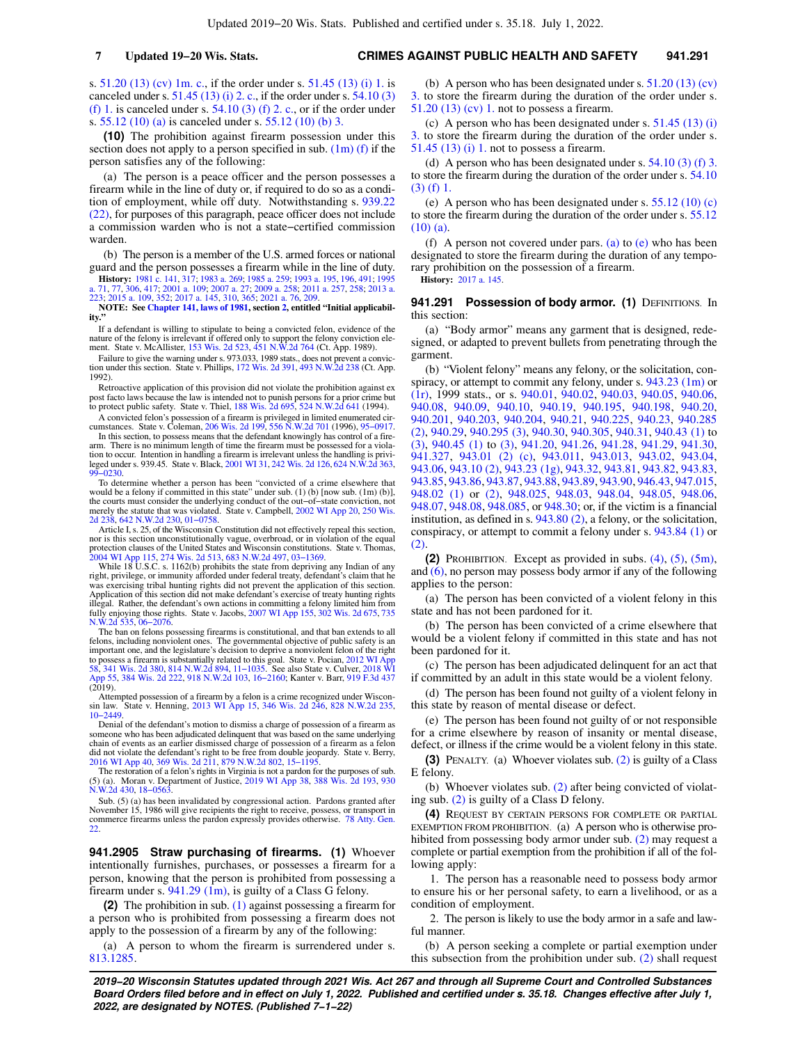s. [51.20 \(13\) \(cv\) 1m. c.](https://docs.legis.wisconsin.gov/document/statutes/51.20(13)(cv)1m.c.), if the order under s. [51.45 \(13\) \(i\) 1.](https://docs.legis.wisconsin.gov/document/statutes/51.45(13)(i)1.) is canceled under s.  $51.45$  (13) (i) 2. c., if the order under s.  $54.10$  (3) [\(f\) 1.](https://docs.legis.wisconsin.gov/document/statutes/54.10(3)(f)1.) is canceled under s.  $54.10$  (3) (f) 2. c., or if the order under s. [55.12 \(10\) \(a\)](https://docs.legis.wisconsin.gov/document/statutes/55.12(10)(a)) is canceled under s. [55.12 \(10\) \(b\) 3.](https://docs.legis.wisconsin.gov/document/statutes/55.12(10)(b)3.)

**(10)** The prohibition against firearm possession under this section does not apply to a person specified in sub.  $(1m)$  (f) if the person satisfies any of the following:

(a) The person is a peace officer and the person possesses a firearm while in the line of duty or, if required to do so as a condition of employment, while off duty. Notwithstanding s. [939.22](https://docs.legis.wisconsin.gov/document/statutes/939.22(22)) [\(22\),](https://docs.legis.wisconsin.gov/document/statutes/939.22(22)) for purposes of this paragraph, peace officer does not include a commission warden who is not a state−certified commission warden.

(b) The person is a member of the U.S. armed forces or national guard and the person possesses a firearm while in the line of duty.

**History:** [1981 c. 141,](https://docs.legis.wisconsin.gov/document/acts/1981/141) [317;](https://docs.legis.wisconsin.gov/document/acts/1981/317) [1983 a. 269](https://docs.legis.wisconsin.gov/document/acts/1983/269); [1985 a. 259;](https://docs.legis.wisconsin.gov/document/acts/1985/259) [1993 a. 195](https://docs.legis.wisconsin.gov/document/acts/1993/195), [196,](https://docs.legis.wisconsin.gov/document/acts/1993/196) [491;](https://docs.legis.wisconsin.gov/document/acts/1993/491) [1995](https://docs.legis.wisconsin.gov/document/acts/1995/71) [a. 71](https://docs.legis.wisconsin.gov/document/acts/1995/71), [77,](https://docs.legis.wisconsin.gov/document/acts/1995/77) [306,](https://docs.legis.wisconsin.gov/document/acts/1995/306) [417;](https://docs.legis.wisconsin.gov/document/acts/1995/417) [2001 a. 109](https://docs.legis.wisconsin.gov/document/acts/2001/109); [2007 a. 27](https://docs.legis.wisconsin.gov/document/acts/2007/27); [2009 a. 258;](https://docs.legis.wisconsin.gov/document/acts/2009/258) [2011 a. 257,](https://docs.legis.wisconsin.gov/document/acts/2011/257) [258;](https://docs.legis.wisconsin.gov/document/acts/2011/258) [2013 a.](https://docs.legis.wisconsin.gov/document/acts/2013/223) [223](https://docs.legis.wisconsin.gov/document/acts/2013/223); [2015 a. 109,](https://docs.legis.wisconsin.gov/document/acts/2015/109) [352](https://docs.legis.wisconsin.gov/document/acts/2015/352); [2017 a. 145,](https://docs.legis.wisconsin.gov/document/acts/2017/145) [310,](https://docs.legis.wisconsin.gov/document/acts/2017/310) [365;](https://docs.legis.wisconsin.gov/document/acts/2017/365) 2021 a.

**NOTE: See [Chapter 141, laws of 1981,](https://docs.legis.wisconsin.gov/document/acts/1981/141) section [2,](https://docs.legis.wisconsin.gov/document/acts/1981/141,%20s.%202) entitled "Initial applicabil-ity."**

If a defendant is willing to stipulate to being a convicted felon, evidence of the nature of the felony is irrelevant if offered only to support the felony conviction element. State v. McAllister, [153 Wis. 2d 523,](https://docs.legis.wisconsin.gov/document/courts/153%20Wis.%202d%20523) [451 N.W.2d 764](https://docs.legis.wisconsin.gov/document/courts/451%20N.W.2d%20764) (Ct. App. 1989).

Failure to give the warning under s. 973.033, 1989 stats., does not prevent a conviction under this section. State v. Phillips, [172 Wis. 2d 391](https://docs.legis.wisconsin.gov/document/courts/172%20Wis.%202d%20391), [493 N.W.2d 238](https://docs.legis.wisconsin.gov/document/courts/493%20N.W.2d%20238) (Ct. App. 1992).

Retroactive application of this provision did not violate the prohibition against ex post facto laws because the law is intended not to punish persons for a prior crime but to protect public safety. State v. Thiel, [188 Wis. 2d 695,](https://docs.legis.wisconsin.gov/document/courts/188%20Wis.%202d%20695) [524 N.W.2d 641](https://docs.legis.wisconsin.gov/document/courts/524%20N.W.2d%20641) (1994).

A convicted felon's possession of a firearm is privileged in limited enumerated circumstances. State v. Coleman, [206 Wis. 2d 199](https://docs.legis.wisconsin.gov/document/courts/206%20Wis.%202d%20199), [556 N.W.2d 701](https://docs.legis.wisconsin.gov/document/courts/556%20N.W.2d%20701) (1996), [95−0917](https://docs.legis.wisconsin.gov/document/wisupremecourt/95-0917). In this section, to possess means that the defendant knowingly has control of a fire-

arm. There is no minimum length of time the firearm must be possessed for a violation to occur. Intention in handling a firearm is irrelevant unless the handling is privileged under s. 939.45. State v. Black, [2001 WI 31](https://docs.legis.wisconsin.gov/document/courts/2001%20WI%2031), [242 Wis. 2d 126](https://docs.legis.wisconsin.gov/document/courts/242%20Wis.%202d%20126), [624 N.W.2d 363](https://docs.legis.wisconsin.gov/document/courts/624%20N.W.2d%20363), [99−0230](https://docs.legis.wisconsin.gov/document/wisupremecourt/99-0230).

To determine whether a person has been "convicted of a crime elsewhere that<br>would be a felony if committed in this state" under sub. (1) (b) [now sub. (1m) (b)],<br>the courts must consider the underlying conduct of the out– merely the statute that was violated. State v. Campbell, [2002 WI App 20,](https://docs.legis.wisconsin.gov/document/courts/2002%20WI%20App%2020) [250 Wis.](https://docs.legis.wisconsin.gov/document/courts/250%20Wis.%202d%20238) [2d 238](https://docs.legis.wisconsin.gov/document/courts/250%20Wis.%202d%20238), [642 N.W.2d 230,](https://docs.legis.wisconsin.gov/document/courts/642%20N.W.2d%20230) [01−0758.](https://docs.legis.wisconsin.gov/document/wicourtofappeals/01-0758)

Article I, s. 25, of the Wisconsin Constitution did not effectively repeal this section, nor is this section unconstitutionally vague, overbroad, or in violation of the equal<br>protection clauses of the United States and Wisconsin constitutions. State v. Thomas,<br>[2004 WI App 115](https://docs.legis.wisconsin.gov/document/courts/2004%20WI%20App%20115), [274 Wis. 2d 513,](https://docs.legis.wisconsin.gov/document/courts/274%20Wis.%202d%20513) [683 N.W.2d 497,](https://docs.legis.wisconsin.gov/document/courts/683%20N.W.2d%20497)

While 18 U.S.C. s. 1162(b) prohibits the state from depriving any Indian of any right, privilege, or immunity afforded under federal treaty, defendant's claim that he was exercising tribal hunting rights did not prevent the application of this section. Application of this section did not make defendant's exercise of treaty hunting rights illegal. Rather, the defendant's own actions in committing a felony limited him from fully enjoying those rights. State v. Jacobs, [2007 WI App 155](https://docs.legis.wisconsin.gov/document/courts/2007%20WI%20App%20155), [302 Wis. 2d 675](https://docs.legis.wisconsin.gov/document/courts/302%20Wis.%202d%20675), [735](https://docs.legis.wisconsin.gov/document/courts/735%20N.W.2d%20535) [N.W.2d 535,](https://docs.legis.wisconsin.gov/document/courts/735%20N.W.2d%20535) [06−2076.](https://docs.legis.wisconsin.gov/document/wicourtofappeals/06-2076)

The ban on felons possessing firearms is constitutional, and that ban extends to all felons, including nonviolent ones. The governmental objective of public safety is an important one, and the legislature's decision to deprive a nonviolent felon of the right<br>to possess a firearm is substantially related to this goal. State v. Pocian, [2012 WI App](https://docs.legis.wisconsin.gov/document/courts/2012%20WI%20App%2058)<br>[58,](https://docs.legis.wisconsin.gov/document/courts/2012%20WI%20App%2058) [341 Wis. 2d 380](https://docs.legis.wisconsin.gov/document/courts/341%20Wis.%202d%20380), [814 N.W.2d 894,](https://docs.legis.wisconsin.gov/document/courts/814%20N.W.2d%20894) 11–1035

Attempted possession of a firearm by a felon is a crime recognized under Wiscon-sin law. State v. Henning, [2013 WI App 15,](https://docs.legis.wisconsin.gov/document/courts/2013%20WI%20App%2015) [346 Wis. 2d 246,](https://docs.legis.wisconsin.gov/document/courts/346%20Wis.%202d%20246) [828 N.W.2d 235](https://docs.legis.wisconsin.gov/document/courts/828%20N.W.2d%20235), [10−2449](https://docs.legis.wisconsin.gov/document/wicourtofappeals/10-2449).

Denial of the defendant's motion to dismiss a charge of possession of a firearm as someone who has been adjudicated delinquent that was based on the same underlying chain of events as an earlier dismissed charge of possession of a firearm as a felon did not violate the defendant's right to be free from double jeopardy. State v. Berry, [2016 WI App 40](https://docs.legis.wisconsin.gov/document/courts/2016%20WI%20App%2040), [369 Wis. 2d 211](https://docs.legis.wisconsin.gov/document/courts/369%20Wis.%202d%20211), [879 N.W.2d 802](https://docs.legis.wisconsin.gov/document/courts/879%20N.W.2d%20802), [15−1195.](https://docs.legis.wisconsin.gov/document/wicourtofappeals/15-1195)

The restoration of a felon's rights in Virginia is not a pardon for the purposes of sub. (5) (a). Moran v. Department of Justice, [2019 WI App 38](https://docs.legis.wisconsin.gov/document/courts/2019%20WI%20App%2038), [388 Wis. 2d 193,](https://docs.legis.wisconsin.gov/document/courts/388%20Wis.%202d%20193) [930](https://docs.legis.wisconsin.gov/document/courts/930%20N.W.2d%20430) [N.W.2d 430,](https://docs.legis.wisconsin.gov/document/courts/930%20N.W.2d%20430) [18−0563.](https://docs.legis.wisconsin.gov/document/wicourtofappeals/18-0563)

Sub. (5) (a) has been invalidated by congressional action. Pardons granted after November 15, 1986 will give recipients the right to receive, possess, or transport in commerce firearms unless the pardon expressly provides otherwise. [78 Atty. Gen.](https://docs.legis.wisconsin.gov/document/oag/vol78-22) [22.](https://docs.legis.wisconsin.gov/document/oag/vol78-22)

**941.2905 Straw purchasing of firearms. (1)** Whoever intentionally furnishes, purchases, or possesses a firearm for a person, knowing that the person is prohibited from possessing a firearm under s. [941.29 \(1m\)](https://docs.legis.wisconsin.gov/document/statutes/941.29(1m)), is guilty of a Class G felony.

**(2)** The prohibition in sub. [\(1\)](https://docs.legis.wisconsin.gov/document/statutes/941.2905(1)) against possessing a firearm for a person who is prohibited from possessing a firearm does not apply to the possession of a firearm by any of the following:

(a) A person to whom the firearm is surrendered under s. [813.1285.](https://docs.legis.wisconsin.gov/document/statutes/813.1285)

(b) A person who has been designated under s. [51.20 \(13\) \(cv\)](https://docs.legis.wisconsin.gov/document/statutes/51.20(13)(cv)3.) [3.](https://docs.legis.wisconsin.gov/document/statutes/51.20(13)(cv)3.) to store the firearm during the duration of the order under s. [51.20 \(13\) \(cv\) 1.](https://docs.legis.wisconsin.gov/document/statutes/51.20(13)(cv)1.) not to possess a firearm.

(c) A person who has been designated under s. [51.45 \(13\) \(i\)](https://docs.legis.wisconsin.gov/document/statutes/51.45(13)(i)3.) [3.](https://docs.legis.wisconsin.gov/document/statutes/51.45(13)(i)3.) to store the firearm during the duration of the order under s. [51.45 \(13\) \(i\) 1.](https://docs.legis.wisconsin.gov/document/statutes/51.45(13)(i)1.) not to possess a firearm.

(d) A person who has been designated under s.  $54.10(3)$  (f) 3. to store the firearm during the duration of the order under s. [54.10](https://docs.legis.wisconsin.gov/document/statutes/54.10(3)(f)1.) [\(3\) \(f\) 1.](https://docs.legis.wisconsin.gov/document/statutes/54.10(3)(f)1.)

(e) A person who has been designated under s.  $55.12(10)(c)$ to store the firearm during the duration of the order under s. [55.12](https://docs.legis.wisconsin.gov/document/statutes/55.12(10)(a))  $(10)$  (a).

(f) A person not covered under pars. [\(a\)](https://docs.legis.wisconsin.gov/document/statutes/941.2905(2)(a)) to  $(e)$  who has been designated to store the firearm during the duration of any temporary prohibition on the possession of a firearm.

**History:** [2017 a. 145.](https://docs.legis.wisconsin.gov/document/acts/2017/145)

### 941.291 Possession of body armor. (1) DEFINITIONS. In this section:

(a) "Body armor" means any garment that is designed, redesigned, or adapted to prevent bullets from penetrating through the garment.

(b) "Violent felony" means any felony, or the solicitation, conspiracy, or attempt to commit any felony, under s. [943.23 \(1m\)](https://docs.legis.wisconsin.gov/document/statutes/1999/943.23(1m)) or [\(1r\),](https://docs.legis.wisconsin.gov/document/statutes/1999/943.23(1r)) 1999 stats., or s. [940.01,](https://docs.legis.wisconsin.gov/document/statutes/940.01) [940.02,](https://docs.legis.wisconsin.gov/document/statutes/940.02) [940.03](https://docs.legis.wisconsin.gov/document/statutes/940.03), [940.05,](https://docs.legis.wisconsin.gov/document/statutes/940.05) [940.06,](https://docs.legis.wisconsin.gov/document/statutes/940.06) [940.08,](https://docs.legis.wisconsin.gov/document/statutes/940.08) [940.09,](https://docs.legis.wisconsin.gov/document/statutes/940.09) [940.10](https://docs.legis.wisconsin.gov/document/statutes/940.10), [940.19,](https://docs.legis.wisconsin.gov/document/statutes/940.19) [940.195](https://docs.legis.wisconsin.gov/document/statutes/940.195), [940.198](https://docs.legis.wisconsin.gov/document/statutes/940.198), [940.20,](https://docs.legis.wisconsin.gov/document/statutes/940.20) [940.201](https://docs.legis.wisconsin.gov/document/statutes/940.201), [940.203,](https://docs.legis.wisconsin.gov/document/statutes/940.203) [940.204](https://docs.legis.wisconsin.gov/document/statutes/940.204), [940.21,](https://docs.legis.wisconsin.gov/document/statutes/940.21) [940.225](https://docs.legis.wisconsin.gov/document/statutes/940.225), [940.23,](https://docs.legis.wisconsin.gov/document/statutes/940.23) [940.285](https://docs.legis.wisconsin.gov/document/statutes/940.285(2)) [\(2\),](https://docs.legis.wisconsin.gov/document/statutes/940.285(2)) [940.29](https://docs.legis.wisconsin.gov/document/statutes/940.29), [940.295 \(3\)](https://docs.legis.wisconsin.gov/document/statutes/940.295(3)), [940.30,](https://docs.legis.wisconsin.gov/document/statutes/940.30) [940.305,](https://docs.legis.wisconsin.gov/document/statutes/940.305) [940.31](https://docs.legis.wisconsin.gov/document/statutes/940.31), [940.43 \(1\)](https://docs.legis.wisconsin.gov/document/statutes/940.43(1)) to [\(3\),](https://docs.legis.wisconsin.gov/document/statutes/940.43(3)) [940.45 \(1\)](https://docs.legis.wisconsin.gov/document/statutes/940.45(1)) to [\(3\)](https://docs.legis.wisconsin.gov/document/statutes/940.45(3)), [941.20,](https://docs.legis.wisconsin.gov/document/statutes/941.20) [941.26,](https://docs.legis.wisconsin.gov/document/statutes/941.26) [941.28](https://docs.legis.wisconsin.gov/document/statutes/941.28), [941.29,](https://docs.legis.wisconsin.gov/document/statutes/941.29) [941.30,](https://docs.legis.wisconsin.gov/document/statutes/941.30) [941.327](https://docs.legis.wisconsin.gov/document/statutes/941.327), [943.01 \(2\) \(c\)](https://docs.legis.wisconsin.gov/document/statutes/943.01(2)(c)), [943.011,](https://docs.legis.wisconsin.gov/document/statutes/943.011) [943.013,](https://docs.legis.wisconsin.gov/document/statutes/943.013) [943.02,](https://docs.legis.wisconsin.gov/document/statutes/943.02) [943.04,](https://docs.legis.wisconsin.gov/document/statutes/943.04) [943.06,](https://docs.legis.wisconsin.gov/document/statutes/943.06) [943.10 \(2\),](https://docs.legis.wisconsin.gov/document/statutes/943.10(2)) [943.23 \(1g\)](https://docs.legis.wisconsin.gov/document/statutes/943.23(1g)), [943.32](https://docs.legis.wisconsin.gov/document/statutes/943.32), [943.81,](https://docs.legis.wisconsin.gov/document/statutes/943.81) [943.82,](https://docs.legis.wisconsin.gov/document/statutes/943.82) [943.83,](https://docs.legis.wisconsin.gov/document/statutes/943.83) [943.85,](https://docs.legis.wisconsin.gov/document/statutes/943.85) [943.86,](https://docs.legis.wisconsin.gov/document/statutes/943.86) [943.87](https://docs.legis.wisconsin.gov/document/statutes/943.87), [943.88,](https://docs.legis.wisconsin.gov/document/statutes/943.88) [943.89,](https://docs.legis.wisconsin.gov/document/statutes/943.89) [943.90](https://docs.legis.wisconsin.gov/document/statutes/943.90), [946.43,](https://docs.legis.wisconsin.gov/document/statutes/946.43) [947.015,](https://docs.legis.wisconsin.gov/document/statutes/947.015) [948.02 \(1\)](https://docs.legis.wisconsin.gov/document/statutes/948.02(1)) or [\(2\),](https://docs.legis.wisconsin.gov/document/statutes/948.02(2)) [948.025](https://docs.legis.wisconsin.gov/document/statutes/948.025), [948.03,](https://docs.legis.wisconsin.gov/document/statutes/948.03) [948.04,](https://docs.legis.wisconsin.gov/document/statutes/948.04) [948.05](https://docs.legis.wisconsin.gov/document/statutes/948.05), [948.06,](https://docs.legis.wisconsin.gov/document/statutes/948.06) [948.07,](https://docs.legis.wisconsin.gov/document/statutes/948.07) [948.08](https://docs.legis.wisconsin.gov/document/statutes/948.08), [948.085,](https://docs.legis.wisconsin.gov/document/statutes/948.085) or [948.30](https://docs.legis.wisconsin.gov/document/statutes/948.30); or, if the victim is a financial institution, as defined in s. [943.80 \(2\),](https://docs.legis.wisconsin.gov/document/statutes/943.80(2)) a felony, or the solicitation, conspiracy, or attempt to commit a felony under s. [943.84 \(1\)](https://docs.legis.wisconsin.gov/document/statutes/943.84(1)) or [\(2\).](https://docs.legis.wisconsin.gov/document/statutes/943.84(2))

**(2)** PROHIBITION. Except as provided in subs. [\(4\)](https://docs.legis.wisconsin.gov/document/statutes/941.291(4)), [\(5\),](https://docs.legis.wisconsin.gov/document/statutes/941.291(5)) [\(5m\),](https://docs.legis.wisconsin.gov/document/statutes/941.291(5m)) and [\(6\)](https://docs.legis.wisconsin.gov/document/statutes/941.291(6)), no person may possess body armor if any of the following applies to the person:

(a) The person has been convicted of a violent felony in this state and has not been pardoned for it.

(b) The person has been convicted of a crime elsewhere that would be a violent felony if committed in this state and has not been pardoned for it.

(c) The person has been adjudicated delinquent for an act that if committed by an adult in this state would be a violent felony.

(d) The person has been found not guilty of a violent felony in this state by reason of mental disease or defect.

(e) The person has been found not guilty of or not responsible for a crime elsewhere by reason of insanity or mental disease, defect, or illness if the crime would be a violent felony in this state.

**(3)** PENALTY. (a) Whoever violates sub. [\(2\)](https://docs.legis.wisconsin.gov/document/statutes/941.291(2)) is guilty of a Class E felony.

(b) Whoever violates sub. [\(2\)](https://docs.legis.wisconsin.gov/document/statutes/941.291(2)) after being convicted of violating sub. [\(2\)](https://docs.legis.wisconsin.gov/document/statutes/941.291(2)) is guilty of a Class D felony.

**(4)** REQUEST BY CERTAIN PERSONS FOR COMPLETE OR PARTIAL EXEMPTION FROM PROHIBITION. (a) A person who is otherwise prohibited from possessing body armor under sub. [\(2\)](https://docs.legis.wisconsin.gov/document/statutes/941.291(2)) may request a complete or partial exemption from the prohibition if all of the following apply:

1. The person has a reasonable need to possess body armor to ensure his or her personal safety, to earn a livelihood, or as a condition of employment.

2. The person is likely to use the body armor in a safe and lawful manner.

(b) A person seeking a complete or partial exemption under this subsection from the prohibition under sub. [\(2\)](https://docs.legis.wisconsin.gov/document/statutes/941.291(2)) shall request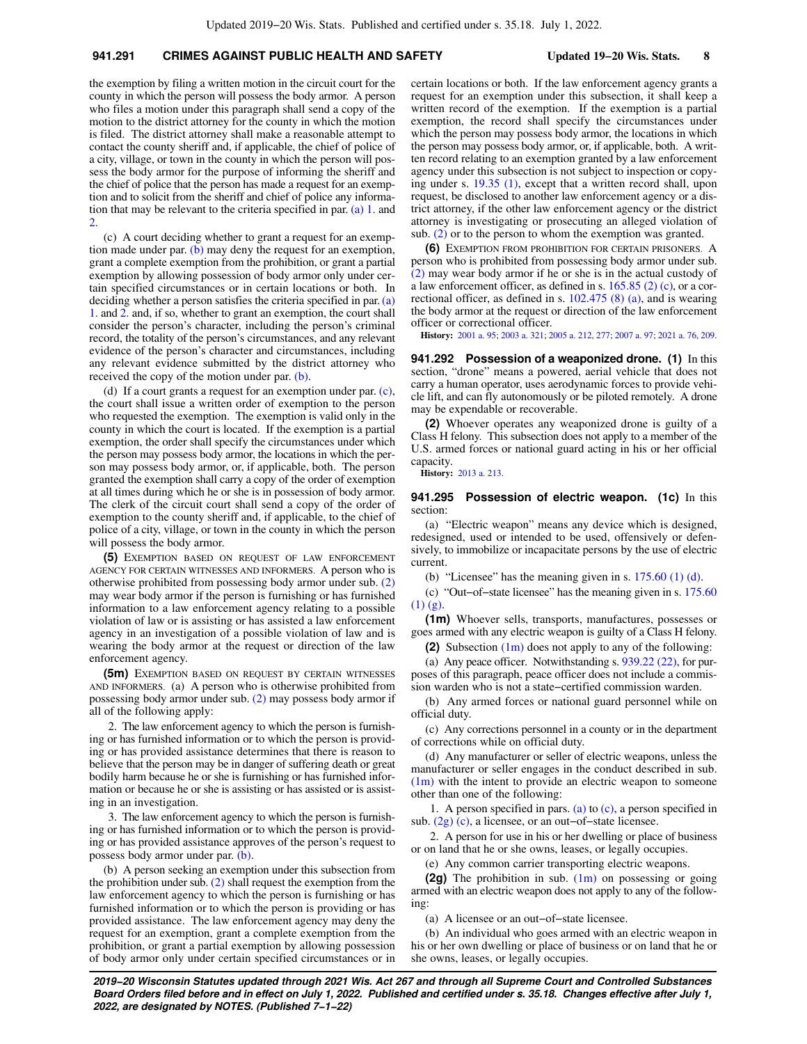# **941.291 CRIMES AGAINST PUBLIC HEALTH AND SAFETY Updated 19−20 Wis. Stats. 8**

the exemption by filing a written motion in the circuit court for the county in which the person will possess the body armor. A person who files a motion under this paragraph shall send a copy of the motion to the district attorney for the county in which the motion is filed. The district attorney shall make a reasonable attempt to contact the county sheriff and, if applicable, the chief of police of a city, village, or town in the county in which the person will possess the body armor for the purpose of informing the sheriff and the chief of police that the person has made a request for an exemption and to solicit from the sheriff and chief of police any information that may be relevant to the criteria specified in par. [\(a\) 1.](https://docs.legis.wisconsin.gov/document/statutes/941.291(4)(a)1.) and [2.](https://docs.legis.wisconsin.gov/document/statutes/941.291(4)(a)2.)

(c) A court deciding whether to grant a request for an exemption made under par. [\(b\)](https://docs.legis.wisconsin.gov/document/statutes/941.291(4)(b)) may deny the request for an exemption, grant a complete exemption from the prohibition, or grant a partial exemption by allowing possession of body armor only under certain specified circumstances or in certain locations or both. In deciding whether a person satisfies the criteria specified in par. [\(a\)](https://docs.legis.wisconsin.gov/document/statutes/941.291(4)(a)1.) [1.](https://docs.legis.wisconsin.gov/document/statutes/941.291(4)(a)1.) and [2.](https://docs.legis.wisconsin.gov/document/statutes/941.291(4)(a)2.) and, if so, whether to grant an exemption, the court shall consider the person's character, including the person's criminal record, the totality of the person's circumstances, and any relevant evidence of the person's character and circumstances, including any relevant evidence submitted by the district attorney who received the copy of the motion under par. [\(b\).](https://docs.legis.wisconsin.gov/document/statutes/941.291(4)(b))

(d) If a court grants a request for an exemption under par. [\(c\),](https://docs.legis.wisconsin.gov/document/statutes/941.291(4)(c)) the court shall issue a written order of exemption to the person who requested the exemption. The exemption is valid only in the county in which the court is located. If the exemption is a partial exemption, the order shall specify the circumstances under which the person may possess body armor, the locations in which the person may possess body armor, or, if applicable, both. The person granted the exemption shall carry a copy of the order of exemption at all times during which he or she is in possession of body armor. The clerk of the circuit court shall send a copy of the order of exemption to the county sheriff and, if applicable, to the chief of police of a city, village, or town in the county in which the person will possess the body armor.

**(5)** EXEMPTION BASED ON REQUEST OF LAW ENFORCEMENT AGENCY FOR CERTAIN WITNESSES AND INFORMERS. A person who is otherwise prohibited from possessing body armor under sub. [\(2\)](https://docs.legis.wisconsin.gov/document/statutes/941.291(2)) may wear body armor if the person is furnishing or has furnished information to a law enforcement agency relating to a possible violation of law or is assisting or has assisted a law enforcement agency in an investigation of a possible violation of law and is wearing the body armor at the request or direction of the law enforcement agency.

**(5m)** EXEMPTION BASED ON REQUEST BY CERTAIN WITNESSES AND INFORMERS. (a) A person who is otherwise prohibited from possessing body armor under sub. [\(2\)](https://docs.legis.wisconsin.gov/document/statutes/941.291(2)) may possess body armor if all of the following apply:

2. The law enforcement agency to which the person is furnishing or has furnished information or to which the person is providing or has provided assistance determines that there is reason to believe that the person may be in danger of suffering death or great bodily harm because he or she is furnishing or has furnished information or because he or she is assisting or has assisted or is assisting in an investigation.

3. The law enforcement agency to which the person is furnishing or has furnished information or to which the person is providing or has provided assistance approves of the person's request to possess body armor under par. [\(b\)](https://docs.legis.wisconsin.gov/document/statutes/941.291(5m)(b)).

(b) A person seeking an exemption under this subsection from the prohibition under sub. [\(2\)](https://docs.legis.wisconsin.gov/document/statutes/941.291(2)) shall request the exemption from the law enforcement agency to which the person is furnishing or has furnished information or to which the person is providing or has provided assistance. The law enforcement agency may deny the request for an exemption, grant a complete exemption from the prohibition, or grant a partial exemption by allowing possession of body armor only under certain specified circumstances or in certain locations or both. If the law enforcement agency grants a request for an exemption under this subsection, it shall keep a written record of the exemption. If the exemption is a partial exemption, the record shall specify the circumstances under which the person may possess body armor, the locations in which the person may possess body armor, or, if applicable, both. A written record relating to an exemption granted by a law enforcement agency under this subsection is not subject to inspection or copying under s. [19.35 \(1\)](https://docs.legis.wisconsin.gov/document/statutes/19.35(1)), except that a written record shall, upon request, be disclosed to another law enforcement agency or a district attorney, if the other law enforcement agency or the district attorney is investigating or prosecuting an alleged violation of sub. [\(2\)](https://docs.legis.wisconsin.gov/document/statutes/941.291(2)) or to the person to whom the exemption was granted.

**(6)** EXEMPTION FROM PROHIBITION FOR CERTAIN PRISONERS. A person who is prohibited from possessing body armor under sub. [\(2\)](https://docs.legis.wisconsin.gov/document/statutes/941.291(2)) may wear body armor if he or she is in the actual custody of a law enforcement officer, as defined in s.  $165.85$  (2) (c), or a correctional officer, as defined in s. [102.475 \(8\) \(a\),](https://docs.legis.wisconsin.gov/document/statutes/102.475(8)(a)) and is wearing the body armor at the request or direction of the law enforcement officer or correctional officer.

**History:** [2001 a. 95;](https://docs.legis.wisconsin.gov/document/acts/2001/95) [2003 a. 321;](https://docs.legis.wisconsin.gov/document/acts/2003/321) [2005 a. 212](https://docs.legis.wisconsin.gov/document/acts/2005/212), [277](https://docs.legis.wisconsin.gov/document/acts/2005/277); [2007 a. 97;](https://docs.legis.wisconsin.gov/document/acts/2007/97) [2021 a. 76,](https://docs.legis.wisconsin.gov/document/acts/2021/76) [209](https://docs.legis.wisconsin.gov/document/acts/2021/209).

**941.292 Possession of a weaponized drone. (1)** In this section, "drone" means a powered, aerial vehicle that does not carry a human operator, uses aerodynamic forces to provide vehicle lift, and can fly autonomously or be piloted remotely. A drone may be expendable or recoverable.

**(2)** Whoever operates any weaponized drone is guilty of a Class H felony. This subsection does not apply to a member of the U.S. armed forces or national guard acting in his or her official capacity.

**History:** [2013 a. 213.](https://docs.legis.wisconsin.gov/document/acts/2013/213)

**941.295 Possession of electric weapon. (1c)** In this section:

(a) "Electric weapon" means any device which is designed, redesigned, used or intended to be used, offensively or defensively, to immobilize or incapacitate persons by the use of electric current.

(b) "Licensee" has the meaning given in s.  $175.60$  (1) (d).

(c) "Out−of−state licensee" has the meaning given in s. [175.60](https://docs.legis.wisconsin.gov/document/statutes/175.60(1)(g))  $(1)$   $(g)$ .

**(1m)** Whoever sells, transports, manufactures, possesses or goes armed with any electric weapon is guilty of a Class H felony.

**(2)** Subsection [\(1m\)](https://docs.legis.wisconsin.gov/document/statutes/941.295(1m)) does not apply to any of the following:

(a) Any peace officer. Notwithstanding s. [939.22 \(22\),](https://docs.legis.wisconsin.gov/document/statutes/939.22(22)) for purposes of this paragraph, peace officer does not include a commission warden who is not a state−certified commission warden.

(b) Any armed forces or national guard personnel while on official duty.

(c) Any corrections personnel in a county or in the department of corrections while on official duty.

(d) Any manufacturer or seller of electric weapons, unless the manufacturer or seller engages in the conduct described in sub. [\(1m\)](https://docs.legis.wisconsin.gov/document/statutes/941.295(1m)) with the intent to provide an electric weapon to someone other than one of the following:

1. A person specified in pars. [\(a\)](https://docs.legis.wisconsin.gov/document/statutes/941.295(2)(a)) to [\(c\)](https://docs.legis.wisconsin.gov/document/statutes/941.295(2)(c)), a person specified in sub. [\(2g\) \(c\)](https://docs.legis.wisconsin.gov/document/statutes/941.295(2g)(c)), a licensee, or an out−of−state licensee.

2. A person for use in his or her dwelling or place of business or on land that he or she owns, leases, or legally occupies.

(e) Any common carrier transporting electric weapons.

**(2g)** The prohibition in sub. [\(1m\)](https://docs.legis.wisconsin.gov/document/statutes/941.295(1m)) on possessing or going armed with an electric weapon does not apply to any of the following:

(a) A licensee or an out−of−state licensee.

(b) An individual who goes armed with an electric weapon in his or her own dwelling or place of business or on land that he or she owns, leases, or legally occupies.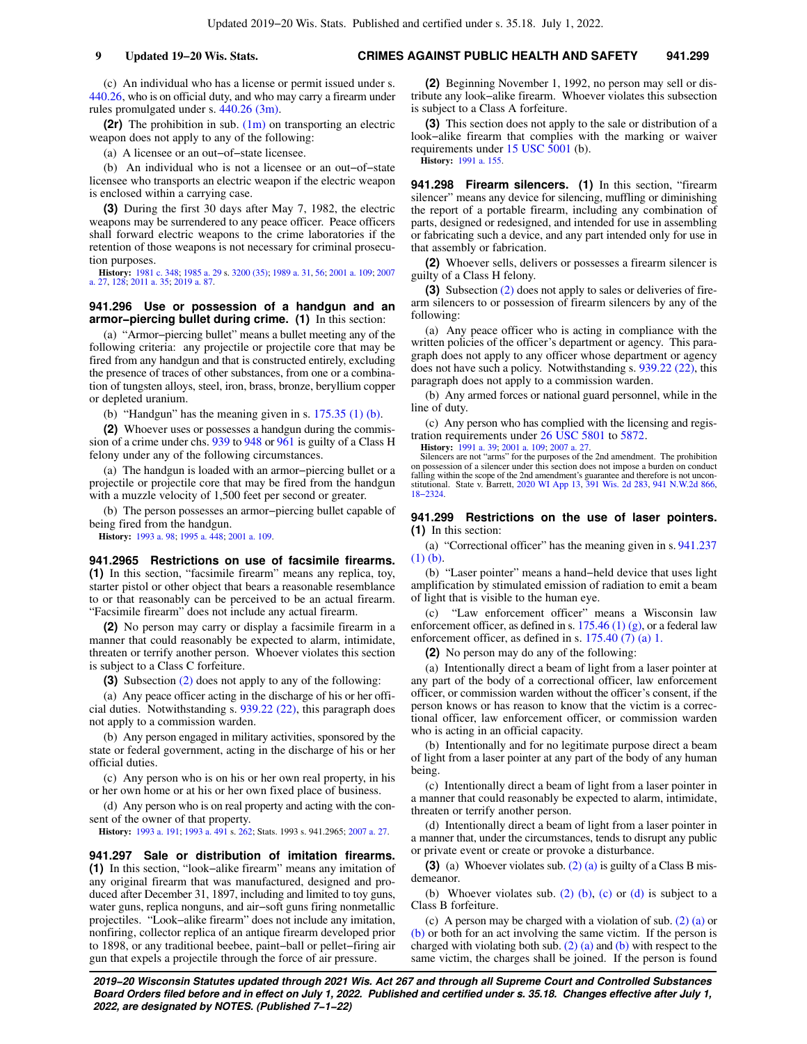## **9 Updated 19−20 Wis. Stats. CRIMES AGAINST PUBLIC HEALTH AND SAFETY 941.299**

(c) An individual who has a license or permit issued under s. [440.26,](https://docs.legis.wisconsin.gov/document/statutes/440.26) who is on official duty, and who may carry a firearm under rules promulgated under s. [440.26 \(3m\)](https://docs.legis.wisconsin.gov/document/statutes/440.26(3m)).

**(2r)** The prohibition in sub. [\(1m\)](https://docs.legis.wisconsin.gov/document/statutes/941.295(1m)) on transporting an electric weapon does not apply to any of the following:

(a) A licensee or an out−of−state licensee.

(b) An individual who is not a licensee or an out−of−state licensee who transports an electric weapon if the electric weapon is enclosed within a carrying case.

**(3)** During the first 30 days after May 7, 1982, the electric weapons may be surrendered to any peace officer. Peace officers shall forward electric weapons to the crime laboratories if the retention of those weapons is not necessary for criminal prosecution purposes.

**History:** [1981 c. 348;](https://docs.legis.wisconsin.gov/document/acts/1981/348) [1985 a. 29](https://docs.legis.wisconsin.gov/document/acts/1985/29) s. [3200 \(35\)](https://docs.legis.wisconsin.gov/document/acts/1985/29,%20s.%203200); [1989 a. 31,](https://docs.legis.wisconsin.gov/document/acts/1989/31) [56](https://docs.legis.wisconsin.gov/document/acts/1989/56); [2001 a. 109;](https://docs.legis.wisconsin.gov/document/acts/2001/109) [2007](https://docs.legis.wisconsin.gov/document/acts/2007/27) [a. 27](https://docs.legis.wisconsin.gov/document/acts/2007/27), [128](https://docs.legis.wisconsin.gov/document/acts/2007/128); [2011 a. 35](https://docs.legis.wisconsin.gov/document/acts/2011/35); [2019 a. 87.](https://docs.legis.wisconsin.gov/document/acts/2019/87)

### **941.296 Use or possession of a handgun and an armor−piercing bullet during crime. (1)** In this section:

(a) "Armor−piercing bullet" means a bullet meeting any of the following criteria: any projectile or projectile core that may be fired from any handgun and that is constructed entirely, excluding the presence of traces of other substances, from one or a combination of tungsten alloys, steel, iron, brass, bronze, beryllium copper or depleted uranium.

(b) "Handgun" has the meaning given in s. [175.35 \(1\) \(b\).](https://docs.legis.wisconsin.gov/document/statutes/175.35(1)(b))

**(2)** Whoever uses or possesses a handgun during the commission of a crime under chs. [939](https://docs.legis.wisconsin.gov/document/statutes/ch.%20939) to [948](https://docs.legis.wisconsin.gov/document/statutes/ch.%20948) or [961](https://docs.legis.wisconsin.gov/document/statutes/ch.%20961) is guilty of a Class H felony under any of the following circumstances.

(a) The handgun is loaded with an armor−piercing bullet or a projectile or projectile core that may be fired from the handgun with a muzzle velocity of 1,500 feet per second or greater.

(b) The person possesses an armor−piercing bullet capable of being fired from the handgun.

**History:** [1993 a. 98;](https://docs.legis.wisconsin.gov/document/acts/1993/98) [1995 a. 448;](https://docs.legis.wisconsin.gov/document/acts/1995/448) [2001 a. 109](https://docs.legis.wisconsin.gov/document/acts/2001/109).

**941.2965 Restrictions on use of facsimile firearms. (1)** In this section, "facsimile firearm" means any replica, toy, starter pistol or other object that bears a reasonable resemblance to or that reasonably can be perceived to be an actual firearm. "Facsimile firearm" does not include any actual firearm.

**(2)** No person may carry or display a facsimile firearm in a manner that could reasonably be expected to alarm, intimidate, threaten or terrify another person. Whoever violates this section is subject to a Class C forfeiture.

**(3)** Subsection [\(2\)](https://docs.legis.wisconsin.gov/document/statutes/941.2965(2)) does not apply to any of the following:

(a) Any peace officer acting in the discharge of his or her official duties. Notwithstanding s. [939.22 \(22\),](https://docs.legis.wisconsin.gov/document/statutes/939.22(22)) this paragraph does not apply to a commission warden.

(b) Any person engaged in military activities, sponsored by the state or federal government, acting in the discharge of his or her official duties.

(c) Any person who is on his or her own real property, in his or her own home or at his or her own fixed place of business.

(d) Any person who is on real property and acting with the consent of the owner of that property.

**History:** [1993 a. 191](https://docs.legis.wisconsin.gov/document/acts/1993/191); [1993 a. 491](https://docs.legis.wisconsin.gov/document/acts/1993/491) s. [262;](https://docs.legis.wisconsin.gov/document/acts/1993/491,%20s.%20262) Stats. 1993 s. 941.2965; [2007 a. 27.](https://docs.legis.wisconsin.gov/document/acts/2007/27)

**941.297 Sale or distribution of imitation firearms. (1)** In this section, "look−alike firearm" means any imitation of any original firearm that was manufactured, designed and produced after December 31, 1897, including and limited to toy guns, water guns, replica nonguns, and air−soft guns firing nonmetallic projectiles. "Look−alike firearm" does not include any imitation, nonfiring, collector replica of an antique firearm developed prior to 1898, or any traditional beebee, paint−ball or pellet−firing air gun that expels a projectile through the force of air pressure.

**(2)** Beginning November 1, 1992, no person may sell or distribute any look−alike firearm. Whoever violates this subsection is subject to a Class A forfeiture.

**(3)** This section does not apply to the sale or distribution of a look−alike firearm that complies with the marking or waiver requirements under [15 USC 5001](https://docs.legis.wisconsin.gov/document/usc/15%20USC%205001) (b).

**History:** [1991 a. 155.](https://docs.legis.wisconsin.gov/document/acts/1991/155)

**941.298 Firearm silencers. (1)** In this section, "firearm silencer" means any device for silencing, muffling or diminishing the report of a portable firearm, including any combination of parts, designed or redesigned, and intended for use in assembling or fabricating such a device, and any part intended only for use in that assembly or fabrication.

**(2)** Whoever sells, delivers or possesses a firearm silencer is guilty of a Class H felony.

**(3)** Subsection [\(2\)](https://docs.legis.wisconsin.gov/document/statutes/941.298(2)) does not apply to sales or deliveries of firearm silencers to or possession of firearm silencers by any of the following:

(a) Any peace officer who is acting in compliance with the written policies of the officer's department or agency. This paragraph does not apply to any officer whose department or agency does not have such a policy. Notwithstanding s. [939.22 \(22\)](https://docs.legis.wisconsin.gov/document/statutes/939.22(22)), this paragraph does not apply to a commission warden.

(b) Any armed forces or national guard personnel, while in the line of duty.

(c) Any person who has complied with the licensing and registration requirements under [26 USC 5801](https://docs.legis.wisconsin.gov/document/usc/26%20USC%205801) to [5872](https://docs.legis.wisconsin.gov/document/usc/26%20USC%205872).

**History:** [1991 a. 39](https://docs.legis.wisconsin.gov/document/acts/1991/39); [2001 a. 109;](https://docs.legis.wisconsin.gov/document/acts/2001/109) [2007 a. 27.](https://docs.legis.wisconsin.gov/document/acts/2007/27)<br>Silencers are not "arms" for the purposes of the 2nd amendment. The prohibition<br>on possession of a silencer under this section does not impose a burden on conduct falling within the scope of the 2nd amendment's guarantee and therefore is not uncon-stitutional. State v. Barrett, [2020 WI App 13,](https://docs.legis.wisconsin.gov/document/courts/2020%20WI%20App%2013) [391 Wis. 2d 283,](https://docs.legis.wisconsin.gov/document/courts/391%20Wis.%202d%20283) [941 N.W.2d 866](https://docs.legis.wisconsin.gov/document/courts/941%20N.W.2d%20866), [18−2324.](https://docs.legis.wisconsin.gov/document/wicourtofappeals/18-2324)

**941.299 Restrictions on the use of laser pointers. (1)** In this section:

(a) "Correctional officer" has the meaning given in s. [941.237](https://docs.legis.wisconsin.gov/document/statutes/941.237(1)(b)) [\(1\) \(b\)](https://docs.legis.wisconsin.gov/document/statutes/941.237(1)(b)).

(b) "Laser pointer" means a hand−held device that uses light amplification by stimulated emission of radiation to emit a beam of light that is visible to the human eye.

(c) "Law enforcement officer" means a Wisconsin law enforcement officer, as defined in s. [175.46 \(1\) \(g\)](https://docs.legis.wisconsin.gov/document/statutes/175.46(1)(g)), or a federal law enforcement officer, as defined in s. [175.40 \(7\) \(a\) 1.](https://docs.legis.wisconsin.gov/document/statutes/175.40(7)(a)1.)

**(2)** No person may do any of the following:

(a) Intentionally direct a beam of light from a laser pointer at any part of the body of a correctional officer, law enforcement officer, or commission warden without the officer's consent, if the person knows or has reason to know that the victim is a correctional officer, law enforcement officer, or commission warden who is acting in an official capacity.

(b) Intentionally and for no legitimate purpose direct a beam of light from a laser pointer at any part of the body of any human being.

(c) Intentionally direct a beam of light from a laser pointer in a manner that could reasonably be expected to alarm, intimidate, threaten or terrify another person.

(d) Intentionally direct a beam of light from a laser pointer in a manner that, under the circumstances, tends to disrupt any public or private event or create or provoke a disturbance.

**(3)** (a) Whoever violates sub. [\(2\) \(a\)](https://docs.legis.wisconsin.gov/document/statutes/941.299(2)(a)) is guilty of a Class B misdemeanor.

(b) Whoever violates sub.  $(2)$  (b),  $(c)$  or  $(d)$  is subject to a Class B forfeiture.

(c) A person may be charged with a violation of sub. [\(2\) \(a\)](https://docs.legis.wisconsin.gov/document/statutes/941.299(2)(a)) or [\(b\)](https://docs.legis.wisconsin.gov/document/statutes/941.299(2)(b)) or both for an act involving the same victim. If the person is charged with violating both sub.  $(2)$  (a) and [\(b\)](https://docs.legis.wisconsin.gov/document/statutes/941.299(2)(b)) with respect to the same victim, the charges shall be joined. If the person is found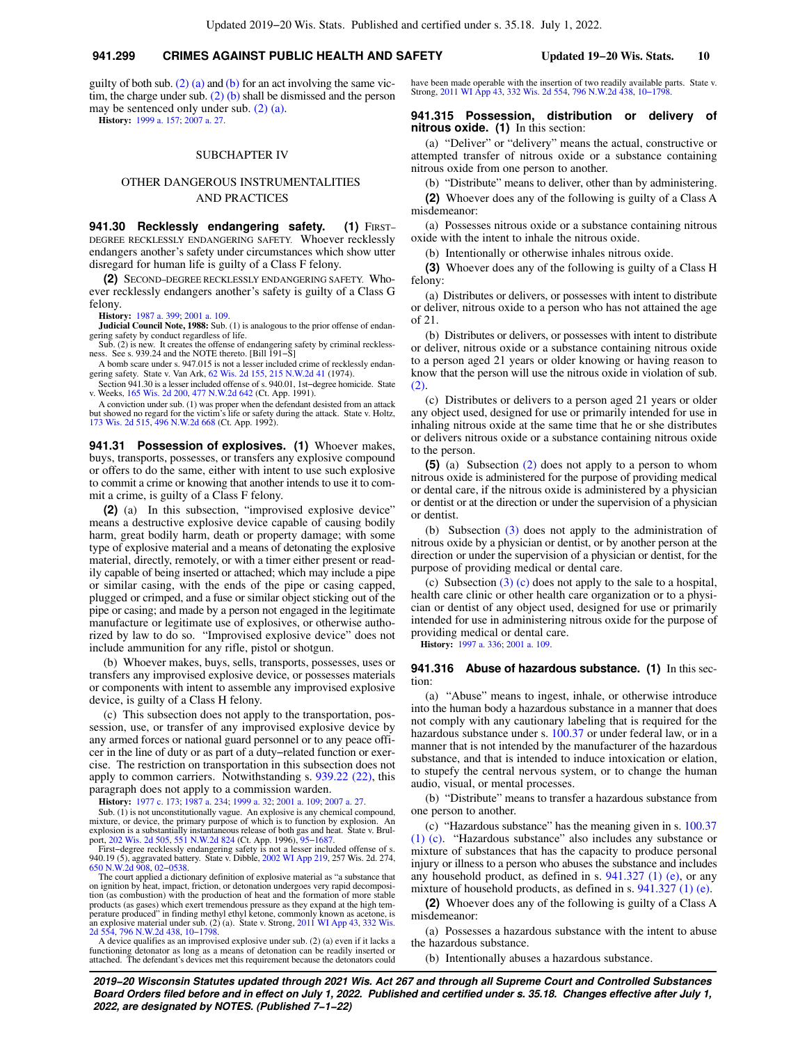## **941.299 CRIMES AGAINST PUBLIC HEALTH AND SAFETY Updated 19−20 Wis. Stats. 10**

guilty of both sub.  $(2)$  (a) and [\(b\)](https://docs.legis.wisconsin.gov/document/statutes/941.299(2)(b)) for an act involving the same victim, the charge under sub. [\(2\) \(b\)](https://docs.legis.wisconsin.gov/document/statutes/941.299(2)(b)) shall be dismissed and the person may be sentenced only under sub. [\(2\) \(a\).](https://docs.legis.wisconsin.gov/document/statutes/941.299(2)(a))

**History:** [1999 a. 157](https://docs.legis.wisconsin.gov/document/acts/1999/157); [2007 a. 27.](https://docs.legis.wisconsin.gov/document/acts/2007/27)

#### SUBCHAPTER IV

# OTHER DANGEROUS INSTRUMENTALITIES AND PRACTICES

941.30 Recklessly endangering safety. (1) FIRST-DEGREE RECKLESSLY ENDANGERING SAFETY. Whoever recklessly endangers another's safety under circumstances which show utter disregard for human life is guilty of a Class F felony.

**(2)** SECOND−DEGREE RECKLESSLY ENDANGERING SAFETY. Whoever recklessly endangers another's safety is guilty of a Class G felony.

**History:** [1987 a. 399](https://docs.legis.wisconsin.gov/document/acts/1987/399); [2001 a. 109](https://docs.legis.wisconsin.gov/document/acts/2001/109).

**Judicial Council Note, 1988:** Sub. (1) is analogous to the prior offense of endangering safety by conduct regardless of life. Sub. (2) is new. It creates the offense of endangering safety by criminal reckless-

ness. See s. 939.24 and the NOTE thereto. [Bill 191−S]

A bomb scare under s. 947.015 is not a lesser included crime of recklessly endan-gering safety. State v. Van Ark, [62 Wis. 2d 155,](https://docs.legis.wisconsin.gov/document/courts/62%20Wis.%202d%20155) [215 N.W.2d 41](https://docs.legis.wisconsin.gov/document/courts/215%20N.W.2d%2041) (1974).

Section 941.30 is a lesser included offense of s. 940.01, 1st−degree homicide. State v. Weeks, [165 Wis. 2d 200](https://docs.legis.wisconsin.gov/document/courts/165%20Wis.%202d%20200), [477 N.W.2d 642](https://docs.legis.wisconsin.gov/document/courts/477%20N.W.2d%20642) (Ct. App. 1991).

A conviction under sub. (1) was proper when the defendant desisted from an attack but showed no regard for the victim's life or safety during the attack. State v. Holtz, [173 Wis. 2d 515,](https://docs.legis.wisconsin.gov/document/courts/173%20Wis.%202d%20515) [496 N.W.2d 668](https://docs.legis.wisconsin.gov/document/courts/496%20N.W.2d%20668) (Ct. App. 1992).

**941.31 Possession of explosives. (1)** Whoever makes, buys, transports, possesses, or transfers any explosive compound or offers to do the same, either with intent to use such explosive to commit a crime or knowing that another intends to use it to commit a crime, is guilty of a Class F felony.

**(2)** (a) In this subsection, "improvised explosive device" means a destructive explosive device capable of causing bodily harm, great bodily harm, death or property damage; with some type of explosive material and a means of detonating the explosive material, directly, remotely, or with a timer either present or readily capable of being inserted or attached; which may include a pipe or similar casing, with the ends of the pipe or casing capped, plugged or crimped, and a fuse or similar object sticking out of the pipe or casing; and made by a person not engaged in the legitimate manufacture or legitimate use of explosives, or otherwise authorized by law to do so. "Improvised explosive device" does not include ammunition for any rifle, pistol or shotgun.

(b) Whoever makes, buys, sells, transports, possesses, uses or transfers any improvised explosive device, or possesses materials or components with intent to assemble any improvised explosive device, is guilty of a Class H felony.

(c) This subsection does not apply to the transportation, possession, use, or transfer of any improvised explosive device by any armed forces or national guard personnel or to any peace officer in the line of duty or as part of a duty−related function or exercise. The restriction on transportation in this subsection does not apply to common carriers. Notwithstanding s. [939.22 \(22\)](https://docs.legis.wisconsin.gov/document/statutes/939.22(22)), this paragraph does not apply to a commission warden.<br>**History:** 1977 c. 173; 1987 a. 234; 1999 a. 32; 2001 a. 109; 2007 a. 27.

**History:** [1977 c. 173](https://docs.legis.wisconsin.gov/document/acts/1977/173); [1987 a. 234](https://docs.legis.wisconsin.gov/document/acts/1987/234); [1999 a. 32](https://docs.legis.wisconsin.gov/document/acts/1999/32); [2001 a. 109;](https://docs.legis.wisconsin.gov/document/acts/2001/109) [2007 a. 27](https://docs.legis.wisconsin.gov/document/acts/2007/27).

Sub. (1) is not unconstitutionally vague. An explosive is any chemical compound, mixture, or device, the primary purpose of which is to function by explosion. An explosion is a substantially instantaneous release of both g

The court applied a dictionary definition of explosive material as "a substance that on ignition by heat, impact, friction, or detonation undergoes very rapid decomposition (as combustion) with the production of heat and the formation of more stable products (as gases) which exert tremendous pressure as they expand at the high tem-perature produced" in finding methyl ethyl ketone, commonly known as acetone, is an explosive material under sub. (2) (a). State v. Strong, [2011 WI App 43,](https://docs.legis.wisconsin.gov/document/courts/2011%20WI%20App%2043) [332 Wis.](https://docs.legis.wisconsin.gov/document/courts/332%20Wis.%202d%20554) [2d 554](https://docs.legis.wisconsin.gov/document/courts/332%20Wis.%202d%20554), [796 N.W.2d 438,](https://docs.legis.wisconsin.gov/document/courts/796%20N.W.2d%20438) [10−1798.](https://docs.legis.wisconsin.gov/document/wicourtofappeals/10-1798)

A device qualifies as an improvised explosive under sub. (2) (a) even if it lacks a functioning detonator as long as a means of detonation can be readily inserted or attached. The defendant's devices met this requirement because the detonators could

have been made operable with the insertion of two readily available parts. State v. Strong, [2011 WI App 43](https://docs.legis.wisconsin.gov/document/courts/2011%20WI%20App%2043), [332 Wis. 2d 554,](https://docs.legis.wisconsin.gov/document/courts/332%20Wis.%202d%20554) [796 N.W.2d 438](https://docs.legis.wisconsin.gov/document/courts/796%20N.W.2d%20438), [10−1798.](https://docs.legis.wisconsin.gov/document/wicourtofappeals/10-1798)

### **941.315 Possession, distribution or delivery of nitrous oxide. (1)** In this section:

(a) "Deliver" or "delivery" means the actual, constructive or attempted transfer of nitrous oxide or a substance containing nitrous oxide from one person to another.

(b) "Distribute" means to deliver, other than by administering.

**(2)** Whoever does any of the following is guilty of a Class A misdemeanor:

(a) Possesses nitrous oxide or a substance containing nitrous oxide with the intent to inhale the nitrous oxide.

(b) Intentionally or otherwise inhales nitrous oxide.

**(3)** Whoever does any of the following is guilty of a Class H felony:

(a) Distributes or delivers, or possesses with intent to distribute or deliver, nitrous oxide to a person who has not attained the age of 21.

(b) Distributes or delivers, or possesses with intent to distribute or deliver, nitrous oxide or a substance containing nitrous oxide to a person aged 21 years or older knowing or having reason to know that the person will use the nitrous oxide in violation of sub. [\(2\).](https://docs.legis.wisconsin.gov/document/statutes/941.315(2))

(c) Distributes or delivers to a person aged 21 years or older any object used, designed for use or primarily intended for use in inhaling nitrous oxide at the same time that he or she distributes or delivers nitrous oxide or a substance containing nitrous oxide to the person.

**(5)** (a) Subsection [\(2\)](https://docs.legis.wisconsin.gov/document/statutes/941.315(2)) does not apply to a person to whom nitrous oxide is administered for the purpose of providing medical or dental care, if the nitrous oxide is administered by a physician or dentist or at the direction or under the supervision of a physician or dentist.

(b) Subsection [\(3\)](https://docs.legis.wisconsin.gov/document/statutes/941.315(3)) does not apply to the administration of nitrous oxide by a physician or dentist, or by another person at the direction or under the supervision of a physician or dentist, for the purpose of providing medical or dental care.

(c) Subsection [\(3\) \(c\)](https://docs.legis.wisconsin.gov/document/statutes/941.315(3)(c)) does not apply to the sale to a hospital, health care clinic or other health care organization or to a physician or dentist of any object used, designed for use or primarily intended for use in administering nitrous oxide for the purpose of providing medical or dental care.

**History:** [1997 a. 336;](https://docs.legis.wisconsin.gov/document/acts/1997/336) [2001 a. 109](https://docs.legis.wisconsin.gov/document/acts/2001/109).

#### **941.316 Abuse of hazardous substance. (1)** In this section:

(a) "Abuse" means to ingest, inhale, or otherwise introduce into the human body a hazardous substance in a manner that does not comply with any cautionary labeling that is required for the hazardous substance under s. [100.37](https://docs.legis.wisconsin.gov/document/statutes/100.37) or under federal law, or in a manner that is not intended by the manufacturer of the hazardous substance, and that is intended to induce intoxication or elation, to stupefy the central nervous system, or to change the human audio, visual, or mental processes.

(b) "Distribute" means to transfer a hazardous substance from one person to another.

(c) "Hazardous substance" has the meaning given in s. [100.37](https://docs.legis.wisconsin.gov/document/statutes/100.37(1)(c)) [\(1\) \(c\).](https://docs.legis.wisconsin.gov/document/statutes/100.37(1)(c)) "Hazardous substance" also includes any substance or mixture of substances that has the capacity to produce personal injury or illness to a person who abuses the substance and includes any household product, as defined in s. [941.327 \(1\) \(e\),](https://docs.legis.wisconsin.gov/document/statutes/941.327(1)(e)) or any mixture of household products, as defined in s. [941.327 \(1\) \(e\).](https://docs.legis.wisconsin.gov/document/statutes/941.327(1)(e))

**(2)** Whoever does any of the following is guilty of a Class A misdemeanor:

(a) Possesses a hazardous substance with the intent to abuse the hazardous substance.

(b) Intentionally abuses a hazardous substance.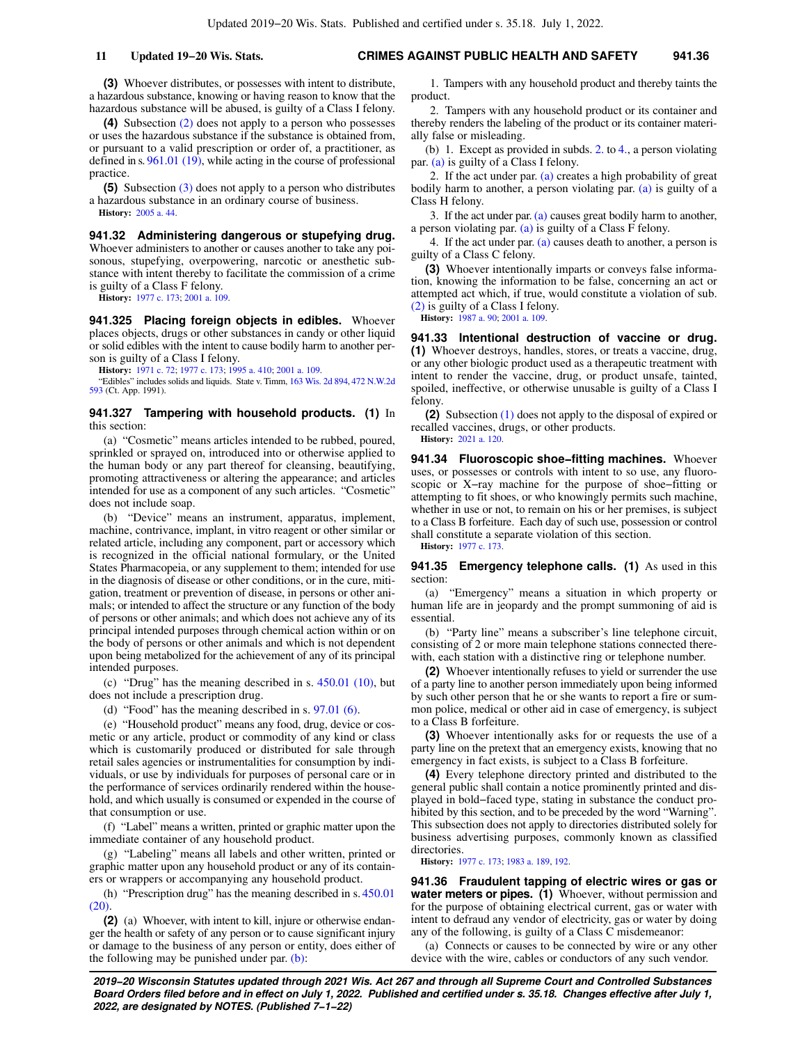**(3)** Whoever distributes, or possesses with intent to distribute, a hazardous substance, knowing or having reason to know that the hazardous substance will be abused, is guilty of a Class I felony.

**(4)** Subsection [\(2\)](https://docs.legis.wisconsin.gov/document/statutes/941.316(2)) does not apply to a person who possesses or uses the hazardous substance if the substance is obtained from, or pursuant to a valid prescription or order of, a practitioner, as defined in s. [961.01 \(19\),](https://docs.legis.wisconsin.gov/document/statutes/961.01(19)) while acting in the course of professional practice.

**(5)** Subsection [\(3\)](https://docs.legis.wisconsin.gov/document/statutes/941.316(3)) does not apply to a person who distributes a hazardous substance in an ordinary course of business. **History:** [2005 a. 44.](https://docs.legis.wisconsin.gov/document/acts/2005/44)

**941.32 Administering dangerous or stupefying drug.** Whoever administers to another or causes another to take any poisonous, stupefying, overpowering, narcotic or anesthetic substance with intent thereby to facilitate the commission of a crime is guilty of a Class F felony.

**History:** [1977 c. 173](https://docs.legis.wisconsin.gov/document/acts/1977/173); [2001 a. 109](https://docs.legis.wisconsin.gov/document/acts/2001/109).

**941.325 Placing foreign objects in edibles.** Whoever places objects, drugs or other substances in candy or other liquid or solid edibles with the intent to cause bodily harm to another person is guilty of a Class I felony.

**History:** [1971 c. 72;](https://docs.legis.wisconsin.gov/document/acts/1971/72) [1977 c. 173;](https://docs.legis.wisconsin.gov/document/acts/1977/173) [1995 a. 410](https://docs.legis.wisconsin.gov/document/acts/1995/410); [2001 a. 109.](https://docs.legis.wisconsin.gov/document/acts/2001/109)

"Edibles" includes solids and liquids. State v. Timm, [163 Wis. 2d 894,](https://docs.legis.wisconsin.gov/document/courts/163%20Wis.%202d%20894) [472 N.W.2d](https://docs.legis.wisconsin.gov/document/courts/472%20N.W.2d%20593) [593](https://docs.legis.wisconsin.gov/document/courts/472%20N.W.2d%20593) (Ct. App. 1991).

### **941.327 Tampering with household products. (1)** In this section:

(a) "Cosmetic" means articles intended to be rubbed, poured, sprinkled or sprayed on, introduced into or otherwise applied to the human body or any part thereof for cleansing, beautifying, promoting attractiveness or altering the appearance; and articles intended for use as a component of any such articles. "Cosmetic" does not include soap.

(b) "Device" means an instrument, apparatus, implement, machine, contrivance, implant, in vitro reagent or other similar or related article, including any component, part or accessory which is recognized in the official national formulary, or the United States Pharmacopeia, or any supplement to them; intended for use in the diagnosis of disease or other conditions, or in the cure, mitigation, treatment or prevention of disease, in persons or other animals; or intended to affect the structure or any function of the body of persons or other animals; and which does not achieve any of its principal intended purposes through chemical action within or on the body of persons or other animals and which is not dependent upon being metabolized for the achievement of any of its principal intended purposes.

(c) "Drug" has the meaning described in s. [450.01 \(10\),](https://docs.legis.wisconsin.gov/document/statutes/450.01(10)) but does not include a prescription drug.

(d) "Food" has the meaning described in s. [97.01 \(6\)](https://docs.legis.wisconsin.gov/document/statutes/97.01(6)).

(e) "Household product" means any food, drug, device or cosmetic or any article, product or commodity of any kind or class which is customarily produced or distributed for sale through retail sales agencies or instrumentalities for consumption by individuals, or use by individuals for purposes of personal care or in the performance of services ordinarily rendered within the household, and which usually is consumed or expended in the course of that consumption or use.

(f) "Label" means a written, printed or graphic matter upon the immediate container of any household product.

(g) "Labeling" means all labels and other written, printed or graphic matter upon any household product or any of its containers or wrappers or accompanying any household product.

(h) "Prescription drug" has the meaning described in s. [450.01](https://docs.legis.wisconsin.gov/document/statutes/450.01(20)) [\(20\).](https://docs.legis.wisconsin.gov/document/statutes/450.01(20))

**(2)** (a) Whoever, with intent to kill, injure or otherwise endanger the health or safety of any person or to cause significant injury or damage to the business of any person or entity, does either of the following may be punished under par.  $(b)$ :

1. Tampers with any household product and thereby taints the product.

2. Tampers with any household product or its container and thereby renders the labeling of the product or its container materially false or misleading.

(b) 1. Except as provided in subds. [2.](https://docs.legis.wisconsin.gov/document/statutes/941.327(2)(b)2.) to [4.](https://docs.legis.wisconsin.gov/document/statutes/941.327(2)(b)4.), a person violating par. [\(a\)](https://docs.legis.wisconsin.gov/document/statutes/941.327(2)(a)) is guilty of a Class I felony.

2. If the act under par.  $(a)$  creates a high probability of great bodily harm to another, a person violating par. [\(a\)](https://docs.legis.wisconsin.gov/document/statutes/941.327(2)(a)) is guilty of a Class H felony.

3. If the act under par. [\(a\)](https://docs.legis.wisconsin.gov/document/statutes/941.327(2)(a)) causes great bodily harm to another, a person violating par. [\(a\)](https://docs.legis.wisconsin.gov/document/statutes/941.327(2)(a)) is guilty of a Class F felony.

4. If the act under par.  $(a)$  causes death to another, a person is guilty of a Class C felony.

**(3)** Whoever intentionally imparts or conveys false information, knowing the information to be false, concerning an act or attempted act which, if true, would constitute a violation of sub. [\(2\)](https://docs.legis.wisconsin.gov/document/statutes/941.327(2)) is guilty of a Class I felony.

**History:** [1987 a. 90](https://docs.legis.wisconsin.gov/document/acts/1987/90); [2001 a. 109.](https://docs.legis.wisconsin.gov/document/acts/2001/109)

**941.33 Intentional destruction of vaccine or drug. (1)** Whoever destroys, handles, stores, or treats a vaccine, drug, or any other biologic product used as a therapeutic treatment with intent to render the vaccine, drug, or product unsafe, tainted, spoiled, ineffective, or otherwise unusable is guilty of a Class I felony.

**(2)** Subsection [\(1\)](https://docs.legis.wisconsin.gov/document/statutes/941.33(1)) does not apply to the disposal of expired or recalled vaccines, drugs, or other products.

**History:** [2021 a. 120.](https://docs.legis.wisconsin.gov/document/acts/2021/120)

**941.34 Fluoroscopic shoe−fitting machines.** Whoever uses, or possesses or controls with intent to so use, any fluoroscopic or X−ray machine for the purpose of shoe−fitting or attempting to fit shoes, or who knowingly permits such machine, whether in use or not, to remain on his or her premises, is subject to a Class B forfeiture. Each day of such use, possession or control shall constitute a separate violation of this section.

**History:** [1977 c. 173.](https://docs.legis.wisconsin.gov/document/acts/1977/173)

**941.35 Emergency telephone calls. (1)** As used in this section:

(a) "Emergency" means a situation in which property or human life are in jeopardy and the prompt summoning of aid is essential.

(b) "Party line" means a subscriber's line telephone circuit, consisting of 2 or more main telephone stations connected therewith, each station with a distinctive ring or telephone number.

**(2)** Whoever intentionally refuses to yield or surrender the use of a party line to another person immediately upon being informed by such other person that he or she wants to report a fire or summon police, medical or other aid in case of emergency, is subject to a Class B forfeiture.

**(3)** Whoever intentionally asks for or requests the use of a party line on the pretext that an emergency exists, knowing that no emergency in fact exists, is subject to a Class B forfeiture.

**(4)** Every telephone directory printed and distributed to the general public shall contain a notice prominently printed and displayed in bold−faced type, stating in substance the conduct prohibited by this section, and to be preceded by the word "Warning". This subsection does not apply to directories distributed solely for business advertising purposes, commonly known as classified directories.

**History:** [1977 c. 173;](https://docs.legis.wisconsin.gov/document/acts/1977/173) [1983 a. 189](https://docs.legis.wisconsin.gov/document/acts/1983/189), [192](https://docs.legis.wisconsin.gov/document/acts/1983/192).

**941.36 Fraudulent tapping of electric wires or gas or water meters or pipes. (1)** Whoever, without permission and for the purpose of obtaining electrical current, gas or water with intent to defraud any vendor of electricity, gas or water by doing any of the following, is guilty of a Class C misdemeanor:

(a) Connects or causes to be connected by wire or any other device with the wire, cables or conductors of any such vendor.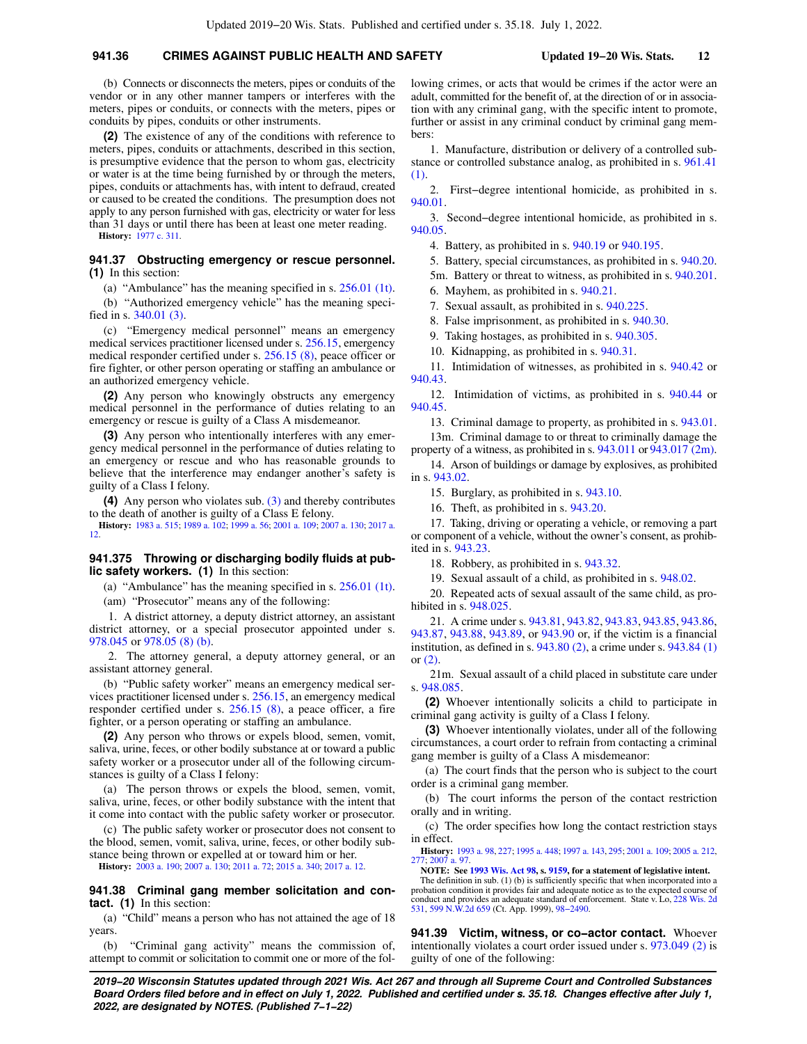# **941.36 CRIMES AGAINST PUBLIC HEALTH AND SAFETY Updated 19−20 Wis. Stats. 12**

(b) Connects or disconnects the meters, pipes or conduits of the vendor or in any other manner tampers or interferes with the meters, pipes or conduits, or connects with the meters, pipes or conduits by pipes, conduits or other instruments.

**(2)** The existence of any of the conditions with reference to meters, pipes, conduits or attachments, described in this section, is presumptive evidence that the person to whom gas, electricity or water is at the time being furnished by or through the meters, pipes, conduits or attachments has, with intent to defraud, created or caused to be created the conditions. The presumption does not apply to any person furnished with gas, electricity or water for less than 31 days or until there has been at least one meter reading.

**History:** [1977 c. 311](https://docs.legis.wisconsin.gov/document/acts/1977/311).

# **941.37 Obstructing emergency or rescue personnel. (1)** In this section:

(a) "Ambulance" has the meaning specified in s. [256.01 \(1t\).](https://docs.legis.wisconsin.gov/document/statutes/256.01(1t))

(b) "Authorized emergency vehicle" has the meaning specified in s. [340.01 \(3\)](https://docs.legis.wisconsin.gov/document/statutes/340.01(3)).

(c) "Emergency medical personnel" means an emergency medical services practitioner licensed under s. [256.15,](https://docs.legis.wisconsin.gov/document/statutes/256.15) emergency medical responder certified under s. [256.15 \(8\)](https://docs.legis.wisconsin.gov/document/statutes/256.15(8)), peace officer or fire fighter, or other person operating or staffing an ambulance or an authorized emergency vehicle.

**(2)** Any person who knowingly obstructs any emergency medical personnel in the performance of duties relating to an emergency or rescue is guilty of a Class A misdemeanor.

**(3)** Any person who intentionally interferes with any emergency medical personnel in the performance of duties relating to an emergency or rescue and who has reasonable grounds to believe that the interference may endanger another's safety is guilty of a Class I felony.

**(4)** Any person who violates sub. [\(3\)](https://docs.legis.wisconsin.gov/document/statutes/941.37(3)) and thereby contributes to the death of another is guilty of a Class E felony.

**History:** [1983 a. 515](https://docs.legis.wisconsin.gov/document/acts/1983/515); [1989 a. 102](https://docs.legis.wisconsin.gov/document/acts/1989/102); [1999 a. 56;](https://docs.legis.wisconsin.gov/document/acts/1999/56) [2001 a. 109;](https://docs.legis.wisconsin.gov/document/acts/2001/109) [2007 a. 130](https://docs.legis.wisconsin.gov/document/acts/2007/130); [2017 a.](https://docs.legis.wisconsin.gov/document/acts/2017/12) [12.](https://docs.legis.wisconsin.gov/document/acts/2017/12)

# **941.375 Throwing or discharging bodily fluids at public safety workers. (1)** In this section:

(a) "Ambulance" has the meaning specified in s. [256.01 \(1t\).](https://docs.legis.wisconsin.gov/document/statutes/256.01(1t))

(am) "Prosecutor" means any of the following:

1. A district attorney, a deputy district attorney, an assistant district attorney, or a special prosecutor appointed under s. [978.045](https://docs.legis.wisconsin.gov/document/statutes/978.045) or [978.05 \(8\) \(b\).](https://docs.legis.wisconsin.gov/document/statutes/978.05(8)(b))

2. The attorney general, a deputy attorney general, or an assistant attorney general.

(b) "Public safety worker" means an emergency medical services practitioner licensed under s. [256.15,](https://docs.legis.wisconsin.gov/document/statutes/256.15) an emergency medical responder certified under s. [256.15 \(8\)](https://docs.legis.wisconsin.gov/document/statutes/256.15(8)), a peace officer, a fire fighter, or a person operating or staffing an ambulance.

**(2)** Any person who throws or expels blood, semen, vomit, saliva, urine, feces, or other bodily substance at or toward a public safety worker or a prosecutor under all of the following circumstances is guilty of a Class I felony:

(a) The person throws or expels the blood, semen, vomit, saliva, urine, feces, or other bodily substance with the intent that it come into contact with the public safety worker or prosecutor.

(c) The public safety worker or prosecutor does not consent to the blood, semen, vomit, saliva, urine, feces, or other bodily substance being thrown or expelled at or toward him or her.

**History:** [2003 a. 190](https://docs.legis.wisconsin.gov/document/acts/2003/190); [2007 a. 130](https://docs.legis.wisconsin.gov/document/acts/2007/130); [2011 a. 72;](https://docs.legis.wisconsin.gov/document/acts/2011/72) [2015 a. 340;](https://docs.legis.wisconsin.gov/document/acts/2015/340) [2017 a. 12.](https://docs.legis.wisconsin.gov/document/acts/2017/12)

**941.38 Criminal gang member solicitation and contact. (1)** In this section:

(a) "Child" means a person who has not attained the age of 18 years.

(b) "Criminal gang activity" means the commission of, attempt to commit or solicitation to commit one or more of the following crimes, or acts that would be crimes if the actor were an adult, committed for the benefit of, at the direction of or in association with any criminal gang, with the specific intent to promote, further or assist in any criminal conduct by criminal gang members:

1. Manufacture, distribution or delivery of a controlled substance or controlled substance analog, as prohibited in s. [961.41](https://docs.legis.wisconsin.gov/document/statutes/961.41(1)) [\(1\).](https://docs.legis.wisconsin.gov/document/statutes/961.41(1))

2. First−degree intentional homicide, as prohibited in s. [940.01.](https://docs.legis.wisconsin.gov/document/statutes/940.01)

3. Second−degree intentional homicide, as prohibited in s. [940.05.](https://docs.legis.wisconsin.gov/document/statutes/940.05)

4. Battery, as prohibited in s. [940.19](https://docs.legis.wisconsin.gov/document/statutes/940.19) or [940.195](https://docs.legis.wisconsin.gov/document/statutes/940.195).

5. Battery, special circumstances, as prohibited in s. [940.20.](https://docs.legis.wisconsin.gov/document/statutes/940.20)

5m. Battery or threat to witness, as prohibited in s. [940.201.](https://docs.legis.wisconsin.gov/document/statutes/940.201)

6. Mayhem, as prohibited in s. [940.21.](https://docs.legis.wisconsin.gov/document/statutes/940.21)

7. Sexual assault, as prohibited in s. [940.225.](https://docs.legis.wisconsin.gov/document/statutes/940.225)

8. False imprisonment, as prohibited in s. [940.30](https://docs.legis.wisconsin.gov/document/statutes/940.30).

9. Taking hostages, as prohibited in s. [940.305.](https://docs.legis.wisconsin.gov/document/statutes/940.305)

10. Kidnapping, as prohibited in s. [940.31](https://docs.legis.wisconsin.gov/document/statutes/940.31).

11. Intimidation of witnesses, as prohibited in s. [940.42](https://docs.legis.wisconsin.gov/document/statutes/940.42) or [940.43.](https://docs.legis.wisconsin.gov/document/statutes/940.43)

12. Intimidation of victims, as prohibited in s. [940.44](https://docs.legis.wisconsin.gov/document/statutes/940.44) or [940.45.](https://docs.legis.wisconsin.gov/document/statutes/940.45)

13. Criminal damage to property, as prohibited in s. [943.01.](https://docs.legis.wisconsin.gov/document/statutes/943.01)

13m. Criminal damage to or threat to criminally damage the property of a witness, as prohibited in s. [943.011](https://docs.legis.wisconsin.gov/document/statutes/943.011) or [943.017 \(2m\).](https://docs.legis.wisconsin.gov/document/statutes/943.017(2m))

14. Arson of buildings or damage by explosives, as prohibited in s. [943.02](https://docs.legis.wisconsin.gov/document/statutes/943.02).

15. Burglary, as prohibited in s. [943.10.](https://docs.legis.wisconsin.gov/document/statutes/943.10)

16. Theft, as prohibited in s. [943.20.](https://docs.legis.wisconsin.gov/document/statutes/943.20)

17. Taking, driving or operating a vehicle, or removing a part or component of a vehicle, without the owner's consent, as prohibited in s. [943.23](https://docs.legis.wisconsin.gov/document/statutes/943.23).

18. Robbery, as prohibited in s. [943.32.](https://docs.legis.wisconsin.gov/document/statutes/943.32)

19. Sexual assault of a child, as prohibited in s. [948.02](https://docs.legis.wisconsin.gov/document/statutes/948.02).

20. Repeated acts of sexual assault of the same child, as prohibited in s. [948.025](https://docs.legis.wisconsin.gov/document/statutes/948.025).

21. A crime under s. [943.81](https://docs.legis.wisconsin.gov/document/statutes/943.81), [943.82](https://docs.legis.wisconsin.gov/document/statutes/943.82), [943.83](https://docs.legis.wisconsin.gov/document/statutes/943.83), [943.85](https://docs.legis.wisconsin.gov/document/statutes/943.85), [943.86,](https://docs.legis.wisconsin.gov/document/statutes/943.86) [943.87,](https://docs.legis.wisconsin.gov/document/statutes/943.87) [943.88,](https://docs.legis.wisconsin.gov/document/statutes/943.88) [943.89](https://docs.legis.wisconsin.gov/document/statutes/943.89), or [943.90](https://docs.legis.wisconsin.gov/document/statutes/943.90) or, if the victim is a financial institution, as defined in s. [943.80 \(2\),](https://docs.legis.wisconsin.gov/document/statutes/943.80(2)) a crime under s. [943.84 \(1\)](https://docs.legis.wisconsin.gov/document/statutes/943.84(1)) or [\(2\)](https://docs.legis.wisconsin.gov/document/statutes/943.84(2)).

21m. Sexual assault of a child placed in substitute care under s. [948.085.](https://docs.legis.wisconsin.gov/document/statutes/948.085)

**(2)** Whoever intentionally solicits a child to participate in criminal gang activity is guilty of a Class I felony.

**(3)** Whoever intentionally violates, under all of the following circumstances, a court order to refrain from contacting a criminal gang member is guilty of a Class A misdemeanor:

(a) The court finds that the person who is subject to the court order is a criminal gang member.

(b) The court informs the person of the contact restriction orally and in writing.

(c) The order specifies how long the contact restriction stays in effect.

**History:** [1993 a. 98](https://docs.legis.wisconsin.gov/document/acts/1993/98), [227;](https://docs.legis.wisconsin.gov/document/acts/1993/227) [1995 a. 448;](https://docs.legis.wisconsin.gov/document/acts/1995/448) [1997 a. 143,](https://docs.legis.wisconsin.gov/document/acts/1997/143) [295](https://docs.legis.wisconsin.gov/document/acts/1997/295); [2001 a. 109](https://docs.legis.wisconsin.gov/document/acts/2001/109); [2005 a. 212](https://docs.legis.wisconsin.gov/document/acts/2005/212), [277;](https://docs.legis.wisconsin.gov/document/acts/2005/277) [2007 a. 97.](https://docs.legis.wisconsin.gov/document/acts/2007/97)

**NOTE: See [1993 Wis. Act 98,](https://docs.legis.wisconsin.gov/document/acts/1993/98) s. [9159,](https://docs.legis.wisconsin.gov/document/acts/1993/98,%20s.%209159) for a statement of legislative intent.** The definition in sub. (1) (b) is sufficiently specific that when incorporated into a

probation condition it provides fair and adequate notice as to the expected course of conduct and provides an adequate standard of enforcement. State v. Lo, [228 Wis. 2d](https://docs.legis.wisconsin.gov/document/courts/228%20Wis.%202d%20531) [531,](https://docs.legis.wisconsin.gov/document/courts/228%20Wis.%202d%20531) [599 N.W.2d 659](https://docs.legis.wisconsin.gov/document/courts/599%20N.W.2d%20659) (Ct. App. 1999), [98−2490](https://docs.legis.wisconsin.gov/document/wicourtofappeals/98-2490).

**941.39 Victim, witness, or co−actor contact.** Whoever intentionally violates a court order issued under s. [973.049 \(2\)](https://docs.legis.wisconsin.gov/document/statutes/973.049(2)) is guilty of one of the following: